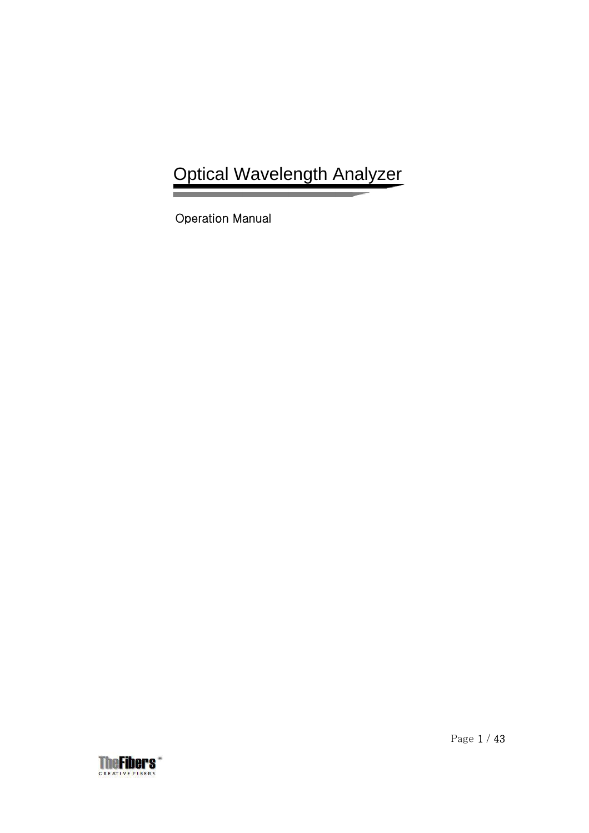# Optical Wavelength Analyzer

Operation Manual

Ξ

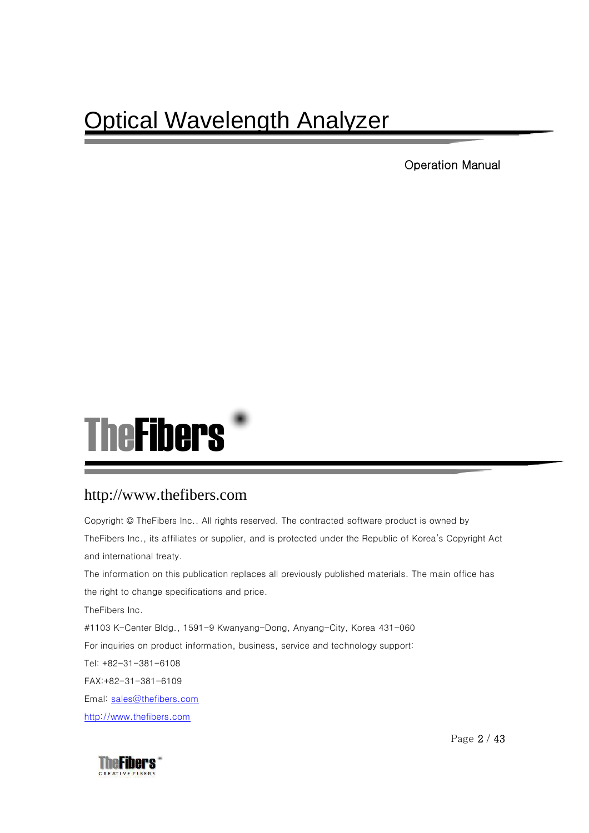# Optical Wavelength Analyzer

Operation Manual



### http://www.thefibers.com

Copyright © TheFibers Inc.. All rights reserved. The contracted software product is owned by TheFibers Inc., its affiliates or supplier, and is protected under the Republic of Korea's Copyright Act and international treaty. The information on this publication replaces all previously published materials. The main office has the right to change specifications and price. TheFibers Inc. #1103 K-Center Bldg., 1591-9 Kwanyang-Dong, Anyang-City, Korea 431-060 For inquiries on product information, business, service and technology support: Tel: +82-31-381-6108 FAX:+82-31-381-6109 Emal: [sales@thefibers.com](mailto:sales@thefibers.com) [http://www.thefibers.com](http://www.thefibers.com/)



Page 2 / 43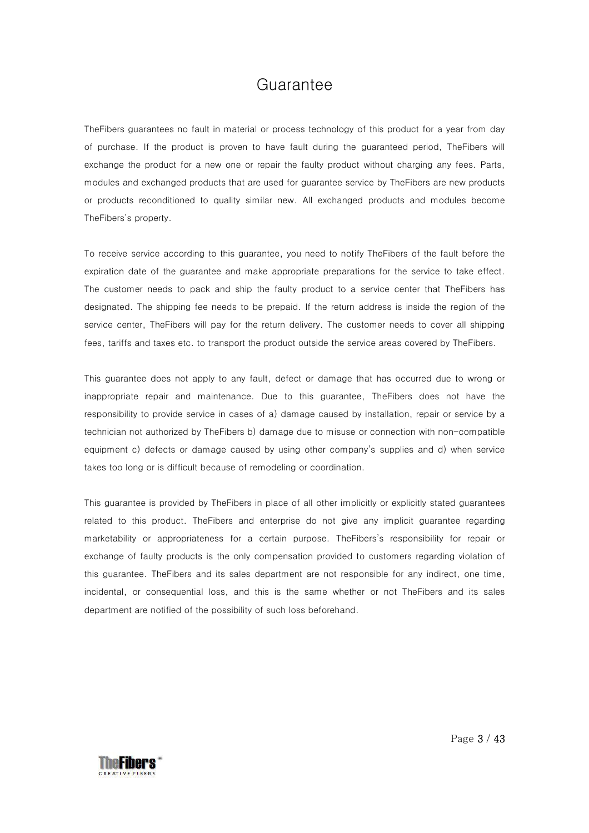### Guarantee

TheFibers guarantees no fault in material or process technology of this product for a year from day of purchase. If the product is proven to have fault during the guaranteed period, TheFibers will exchange the product for a new one or repair the faulty product without charging any fees. Parts, modules and exchanged products that are used for guarantee service by TheFibers are new products or products reconditioned to quality similar new. All exchanged products and modules become TheFibers's property.

To receive service according to this guarantee, you need to notify TheFibers of the fault before the expiration date of the guarantee and make appropriate preparations for the service to take effect. The customer needs to pack and ship the faulty product to a service center that TheFibers has designated. The shipping fee needs to be prepaid. If the return address is inside the region of the service center, TheFibers will pay for the return delivery. The customer needs to cover all shipping fees, tariffs and taxes etc. to transport the product outside the service areas covered by TheFibers.

This guarantee does not apply to any fault, defect or damage that has occurred due to wrong or inappropriate repair and maintenance. Due to this guarantee, TheFibers does not have the responsibility to provide service in cases of a) damage caused by installation, repair or service by a technician not authorized by TheFibers b) damage due to misuse or connection with non-compatible equipment c) defects or damage caused by using other company's supplies and d) when service takes too long or is difficult because of remodeling or coordination.

This guarantee is provided by TheFibers in place of all other implicitly or explicitly stated guarantees related to this product. TheFibers and enterprise do not give any implicit guarantee regarding marketability or appropriateness for a certain purpose. TheFibers's responsibility for repair or exchange of faulty products is the only compensation provided to customers regarding violation of this guarantee. TheFibers and its sales department are not responsible for any indirect, one time, incidental, or consequential loss, and this is the same whether or not TheFibers and its sales department are notified of the possibility of such loss beforehand.

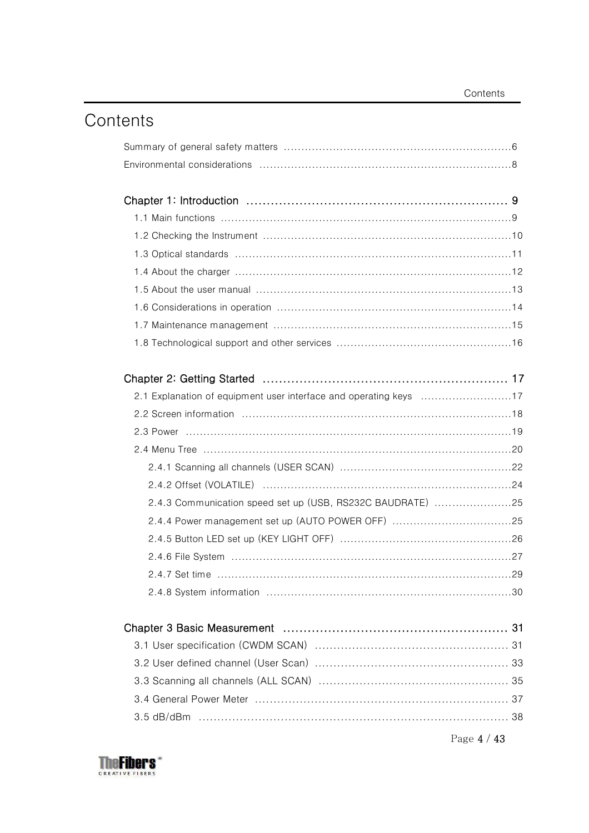## Contents

| 2.4.3 Communication speed set up (USB, RS232C BAUDRATE) 25 |  |
|------------------------------------------------------------|--|
|                                                            |  |
|                                                            |  |
|                                                            |  |
|                                                            |  |
|                                                            |  |
|                                                            |  |
|                                                            |  |
|                                                            |  |
|                                                            |  |
|                                                            |  |
|                                                            |  |
|                                                            |  |
|                                                            |  |



Page 4 / 43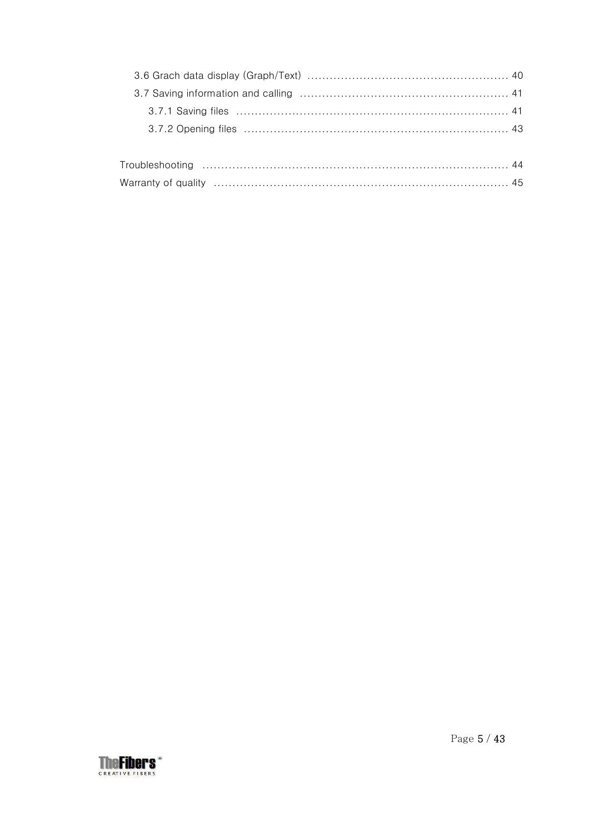| <b>heFibers</b>       |  |
|-----------------------|--|
| <b>CREATIVEFIBERS</b> |  |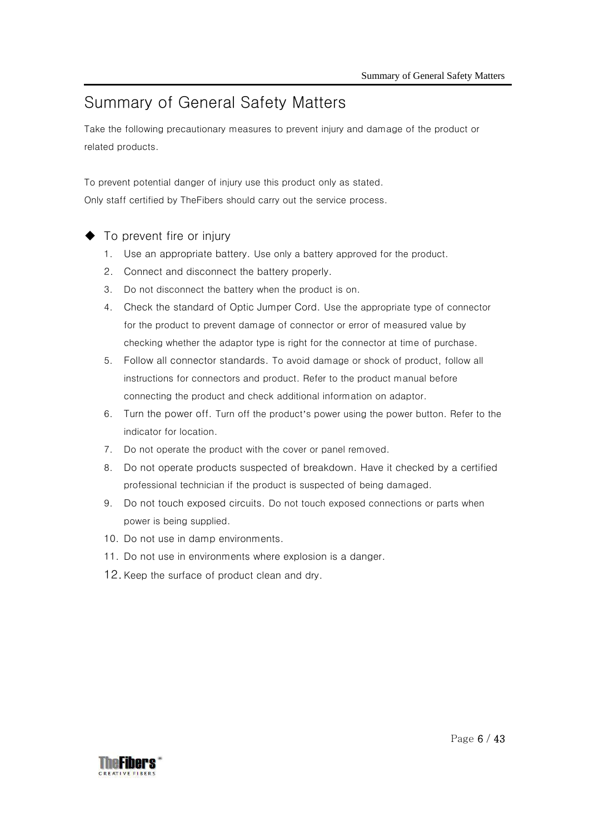### Summary of General Safety Matters

Take the following precautionary measures to prevent injury and damage of the product or related products.

To prevent potential danger of injury use this product only as stated. Only staff certified by TheFibers should carry out the service process.

- To prevent fire or injury
	- 1. Use an appropriate battery. Use only a battery approved for the product.
	- 2. Connect and disconnect the battery properly.
	- 3. Do not disconnect the battery when the product is on.
	- 4. Check the standard of Optic Jumper Cord. Use the appropriate type of connector for the product to prevent damage of connector or error of measured value by checking whether the adaptor type is right for the connector at time of purchase.
	- 5. Follow all connector standards. To avoid damage or shock of product, follow all instructions for connectors and product. Refer to the product manual before connecting the product and check additional information on adaptor.
	- 6. Turn the power off. Turn off the product's power using the power button. Refer to the indicator for location.
	- 7. Do not operate the product with the cover or panel removed.
	- 8. Do not operate products suspected of breakdown. Have it checked by a certified professional technician if the product is suspected of being damaged.
	- 9. Do not touch exposed circuits. Do not touch exposed connections or parts when power is being supplied.
	- 10. Do not use in damp environments.
	- 11. Do not use in environments where explosion is a danger.
	- 12.Keep the surface of product clean and dry.

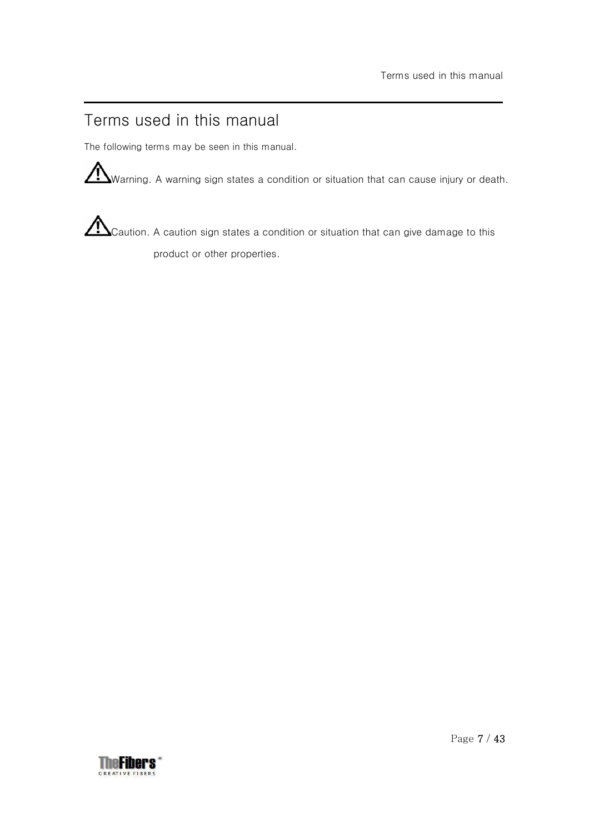### Terms used in this manual

The following terms may be seen in this manual.

Warning. A warning sign states a condition or situation that can cause injury or death.

 $\sum_{\text{Caution. A caution sign states a condition or situation that can give damage to this}$ product or other properties.

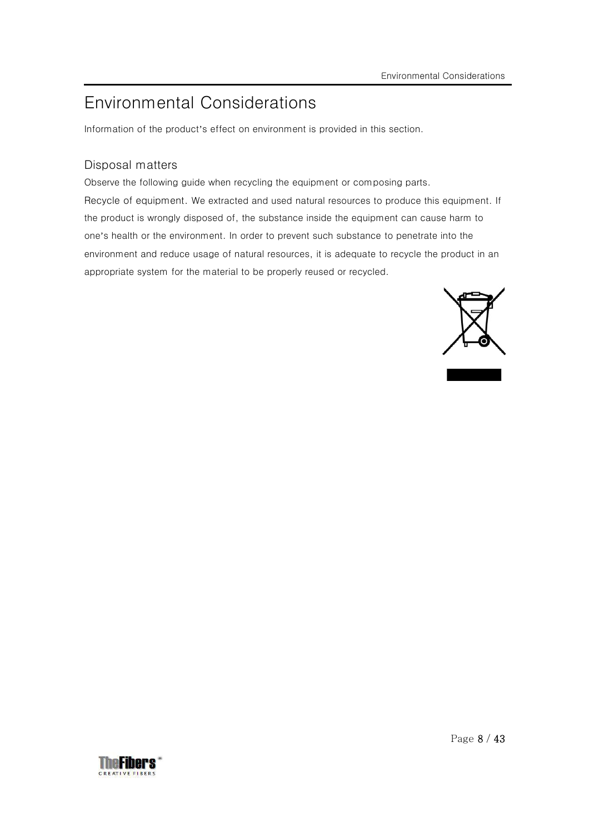## Environmental Considerations

Information of the product's effect on environment is provided in this section.

### Disposal matters

Observe the following guide when recycling the equipment or composing parts. Recycle of equipment. We extracted and used natural resources to produce this equipment. If the product is wrongly disposed of, the substance inside the equipment can cause harm to one's health or the environment. In order to prevent such substance to penetrate into the environment and reduce usage of natural resources, it is adequate to recycle the product in an appropriate system for the material to be properly reused or recycled.



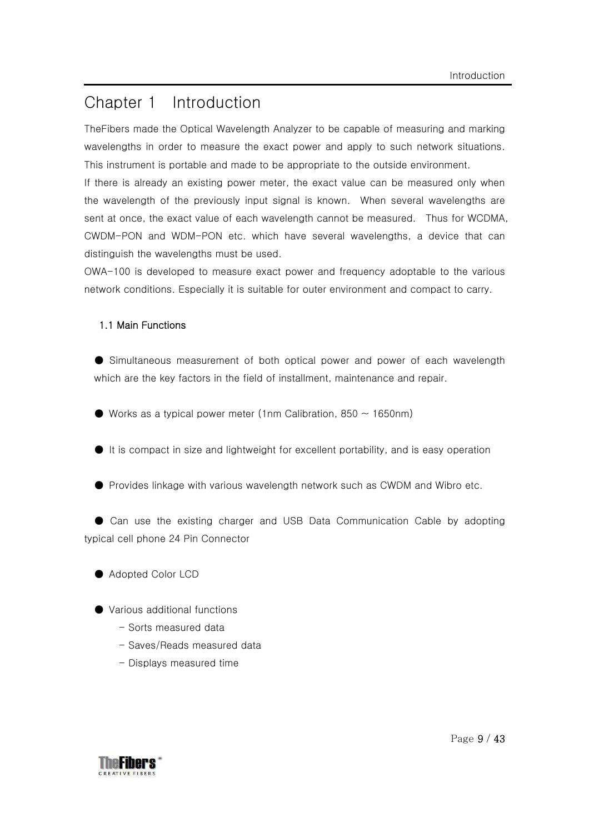### Chapter 1 Introduction

TheFibers made the Optical Wavelength Analyzer to be capable of measuring and marking wavelengths in order to measure the exact power and apply to such network situations. This instrument is portable and made to be appropriate to the outside environment.

If there is already an existing power meter, the exact value can be measured only when the wavelength of the previously input signal is known. When several wavelengths are sent at once, the exact value of each wavelength cannot be measured. Thus for WCDMA, CWDM-PON and WDM-PON etc. which have several wavelengths, a device that can distinguish the wavelengths must be used.

OWA-100 is developed to measure exact power and frequency adoptable to the various network conditions. Especially it is suitable for outer environment and compact to carry.

#### 1.1 Main Functions

● Simultaneous measurement of both optical power and power of each wavelength which are the key factors in the field of installment, maintenance and repair.

- $\bullet$  Works as a typical power meter (1nm Calibration, 850  $\sim$  1650nm)
- It is compact in size and lightweight for excellent portability, and is easy operation
- Provides linkage with various wavelength network such as CWDM and Wibro etc.

● Can use the existing charger and USB Data Communication Cable by adopting typical cell phone 24 Pin Connector

- Adopted Color LCD
- Various additional functions
	- Sorts measured data
	- Saves/Reads measured data
	- Displays measured time

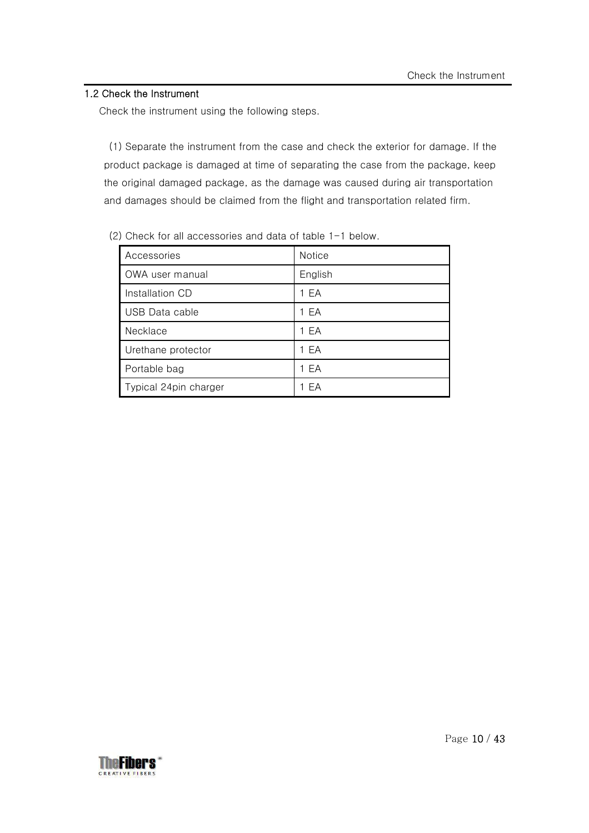### 1.2 Check the Instrument

Check the instrument using the following steps.

(1) Separate the instrument from the case and check the exterior for damage. If the product package is damaged at time of separating the case from the package, keep the original damaged package, as the damage was caused during air transportation and damages should be claimed from the flight and transportation related firm.

| Accessories           | <b>Notice</b> |
|-----------------------|---------------|
| OWA user manual       | English       |
| Installation CD       | 1 EA          |
| USB Data cable        | 1 EA          |
| Necklace              | 1 EA          |
| Urethane protector    | 1 EA          |
| Portable bag          | 1 EA          |
| Typical 24pin charger | FA            |

(2) Check for all accessories and data of table 1-1 below.

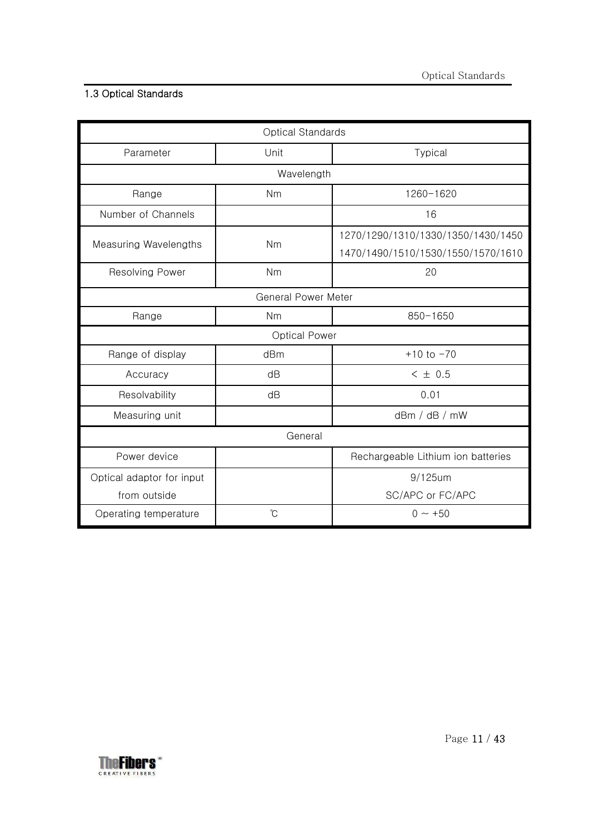### 1.3 Optical Standards

| Optical Standards         |                            |                                                                          |  |
|---------------------------|----------------------------|--------------------------------------------------------------------------|--|
| Parameter                 | Unit                       | Typical                                                                  |  |
|                           | Wavelength                 |                                                                          |  |
| Range                     | Nm                         | 1260-1620                                                                |  |
| Number of Channels        |                            | 16                                                                       |  |
| Measuring Wavelengths     | Nm                         | 1270/1290/1310/1330/1350/1430/1450<br>1470/1490/1510/1530/1550/1570/1610 |  |
| <b>Resolving Power</b>    | Nm                         | 20                                                                       |  |
|                           | <b>General Power Meter</b> |                                                                          |  |
| Range                     | Nm                         | $850 - 1650$                                                             |  |
|                           | <b>Optical Power</b>       |                                                                          |  |
| Range of display          | dBm                        | $+10$ to $-70$                                                           |  |
| Accuracy                  | dB                         | < 10.5                                                                   |  |
| Resolvability             | dB                         | 0.01                                                                     |  |
| Measuring unit            |                            | dBr / dB / mW                                                            |  |
| General                   |                            |                                                                          |  |
| Power device              |                            | Rechargeable Lithium ion batteries                                       |  |
| Optical adaptor for input |                            | $9/125$ um                                                               |  |
| from outside              |                            | SC/APC or FC/APC                                                         |  |
| Operating temperature     | $\mathrm{C}^{\circ}$       | $0 \sim +50$                                                             |  |

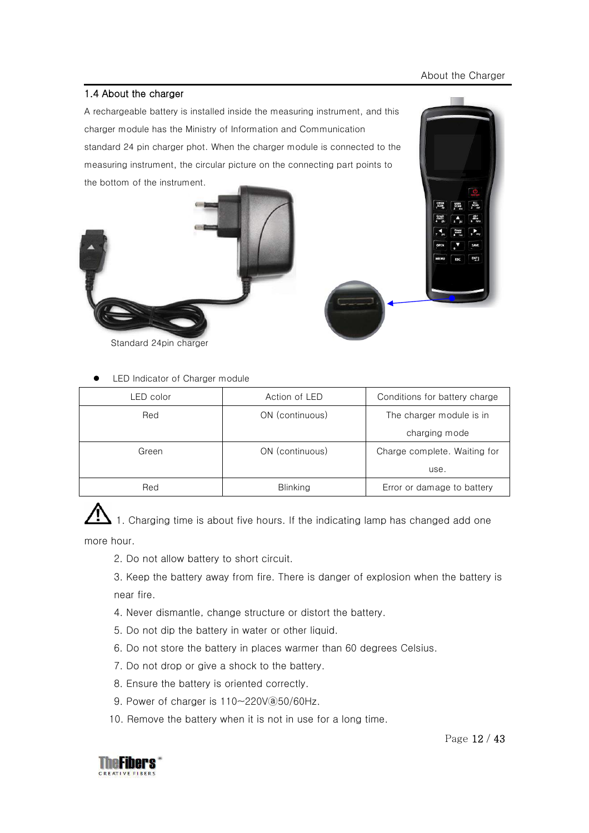#### About the Charger

#### 1.4 About the charger

A rechargeable battery is installed inside the measuring instrument, and this charger module has the Ministry of Information and Communication standard 24 pin charger phot. When the charger module is connected to the measuring instrument, the circular picture on the connecting part points to the bottom of the instrument.



Standard 24pin charger

LED Indicator of Charger module

| LED color | Action of LED<br>Conditions for battery charge  |                          |
|-----------|-------------------------------------------------|--------------------------|
| Red       | ON (continuous)                                 | The charger module is in |
|           |                                                 | charging mode            |
| Green     | ON (continuous)<br>Charge complete. Waiting for |                          |
|           |                                                 | use.                     |
| Red       | <b>Blinking</b><br>Error or damage to battery   |                          |

1. Charging time is about five hours. If the indicating lamp has changed add one more hour.

- 2. Do not allow battery to short circuit.
- 3. Keep the battery away from fire. There is danger of explosion when the battery is near fire.
- 4. Never dismantle, change structure or distort the battery.
- 5. Do not dip the battery in water or other liquid.
- 6. Do not store the battery in places warmer than 60 degrees Celsius.
- 7. Do not drop or give a shock to the battery.
- 8. Ensure the battery is oriented correctly.
- 9. Power of charger is  $110 220V$  (a) 50/60Hz.
- 10. Remove the battery when it is not in use for a long time.





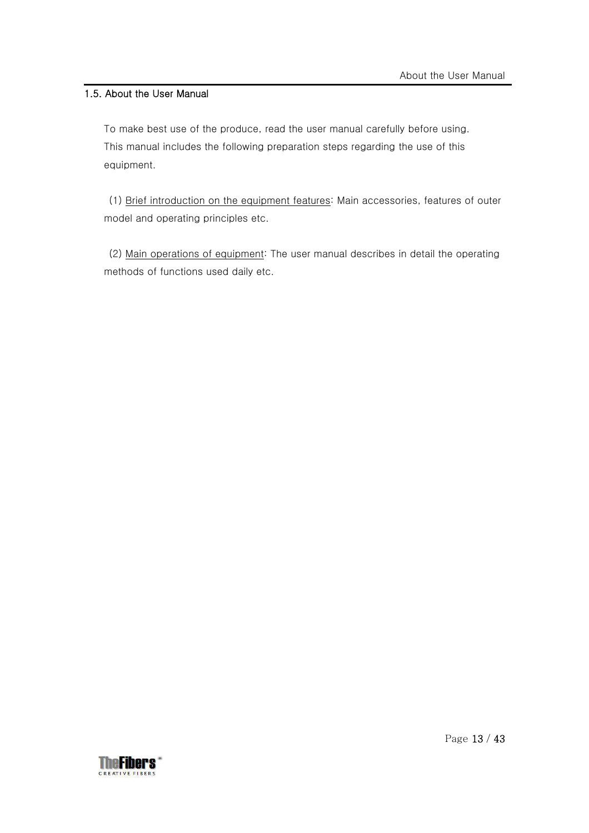### 1.5. About the User Manual

To make best use of the produce, read the user manual carefully before using. This manual includes the following preparation steps regarding the use of this equipment.

 (1) Brief introduction on the equipment features: Main accessories, features of outer model and operating principles etc.

 (2) Main operations of equipment: The user manual describes in detail the operating methods of functions used daily etc.

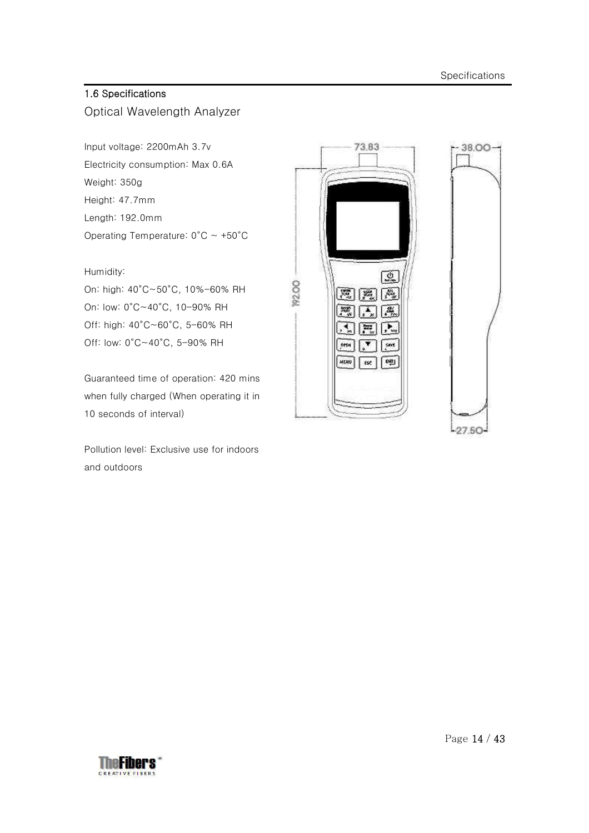### 1.6 Specifications

Optical Wavelength Analyzer

Input voltage: 2200mAh 3.7v Electricity consumption: Max 0.6A Weight: 350g Height: 47.7mm Length: 192.0mm Operating Temperature:  $0^{\circ}$ C ~ +50 $^{\circ}$ C

#### Humidity:

On: high: 40°C~50°C, 10%-60% RH On: low: 0°C~40°C, 10-90% RH Off: high: 40°C~60°C, 5-60% RH Off: low: 0°C~40°C, 5-90% RH

Guaranteed time of operation: 420 mins when fully charged (When operating it in 10 seconds of interval)

Pollution level: Exclusive use for indoors and outdoors



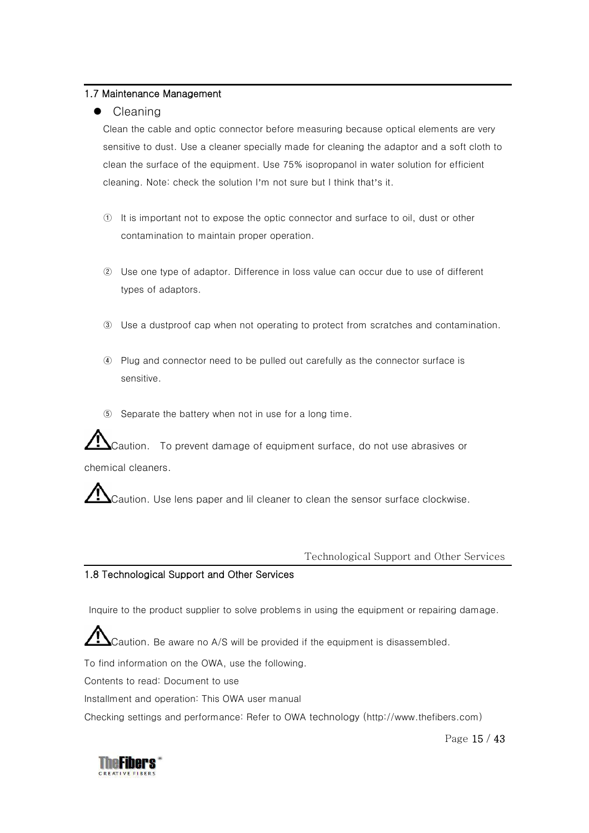#### 1.7 Maintenance Management

### $\bullet$  Cleaning

Clean the cable and optic connector before measuring because optical elements are very sensitive to dust. Use a cleaner specially made for cleaning the adaptor and a soft cloth to clean the surface of the equipment. Use 75% isopropanol in water solution for efficient cleaning. Note: check the solution I'm not sure but I think that's it.

- ① It is important not to expose the optic connector and surface to oil, dust or other contamination to maintain proper operation.
- ② Use one type of adaptor. Difference in loss value can occur due to use of different types of adaptors.
- ③ Use a dustproof cap when not operating to protect from scratches and contamination.
- ④ Plug and connector need to be pulled out carefully as the connector surface is sensitive.
- ⑤ Separate the battery when not in use for a long time.

 $\blacktriangle$ Caution.  $\;$  To prevent damage of equipment surface, do not use abrasives or chemical cleaners.

Caution. Use lens paper and lil cleaner to clean the sensor surface clockwise.

#### Technological Support and Other Services

#### 1.8 Technological Support and Other Services

Inquire to the product supplier to solve problems in using the equipment or repairing damage.

Caution. Be aware no A/S will be provided if the equipment is disassembled.

To find information on the OWA, use the following.

Contents to read: Document to use

Installment and operation: This OWA user manual

Checking settings and performance: Refer to OWA technology (http://www.thefibers.com)

Page 15 / 43

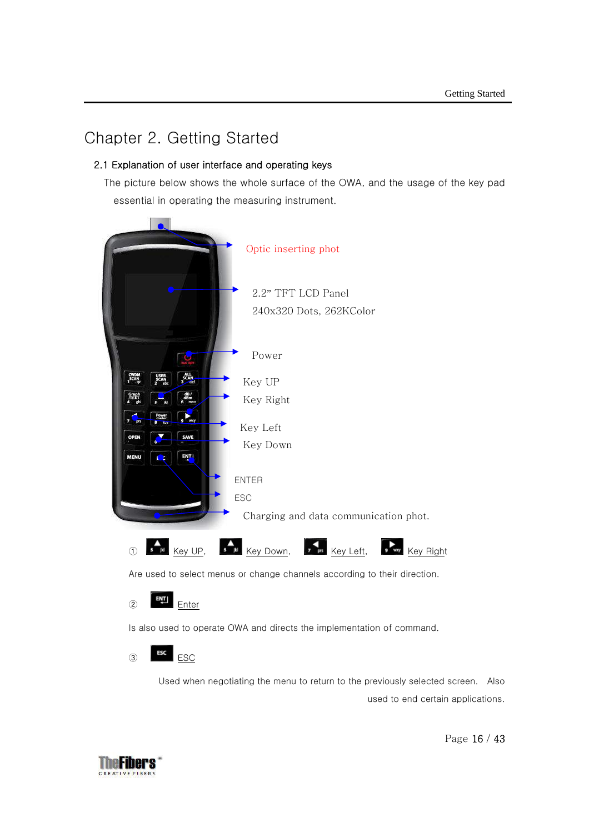### Chapter 2. Getting Started

### 2.1 Explanation of user interface and operating keys

The picture below shows the whole surface of the OWA, and the usage of the key pad essential in operating the measuring instrument.



Are used to select menus or change channels according to their direction.

 $\overline{z}$  Enter

Is also used to operate OWA and directs the implementation of command.



Used when negotiating the menu to return to the previously selected screen. Also used to end certain applications.



Page 16 / 43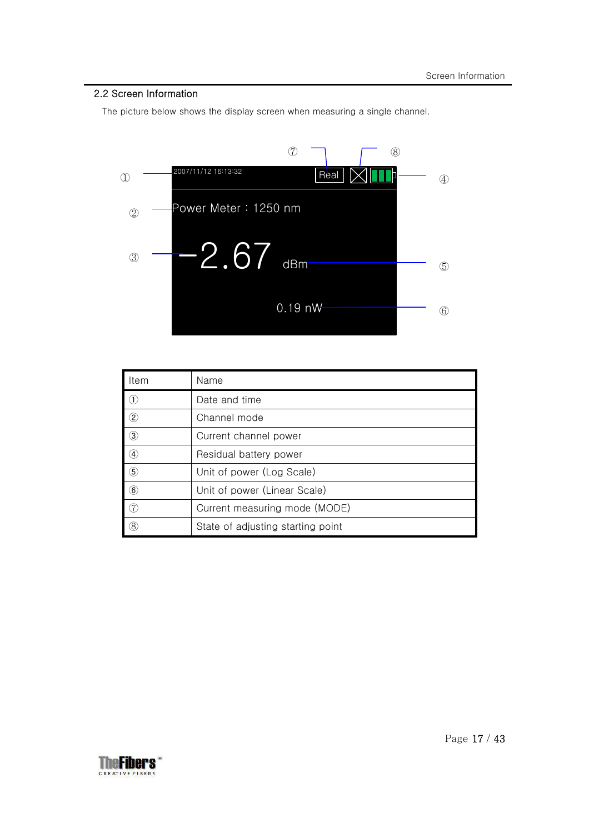### 2.2 Screen Information

The picture below shows the display screen when measuring a single channel.



| Item              | Name                              |
|-------------------|-----------------------------------|
| (1)               | Date and time                     |
| $\circled{2}$     | Channel mode                      |
| $\circled{3}$     | Current channel power             |
| $\left( 4\right)$ | Residual battery power            |
| $\circ$           | Unit of power (Log Scale)         |
| $\left( 6\right)$ | Unit of power (Linear Scale)      |
| (7)               | Current measuring mode (MODE)     |
| (8)               | State of adjusting starting point |

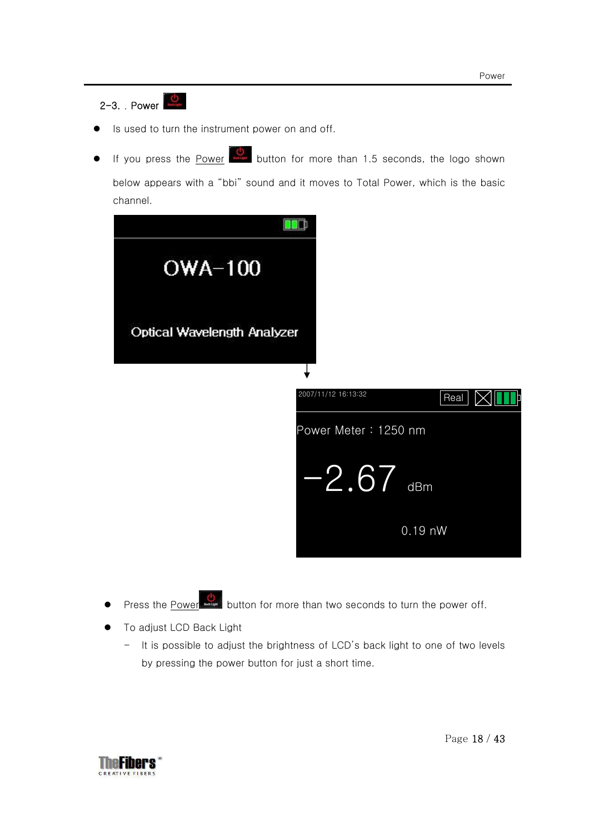### 2-3. Power

- Is used to turn the instrument power on and off.
- If you press the Power button for more than 1.5 seconds, the logo shown below appears with a "bbi" sound and it moves to Total Power, which is the basic channel.



- **•** Press the Power **button** for more than two seconds to turn the power off.
- **•** To adjust LCD Back Light
	- It is possible to adjust the brightness of LCD's back light to one of two levels by pressing the power button for just a short time.

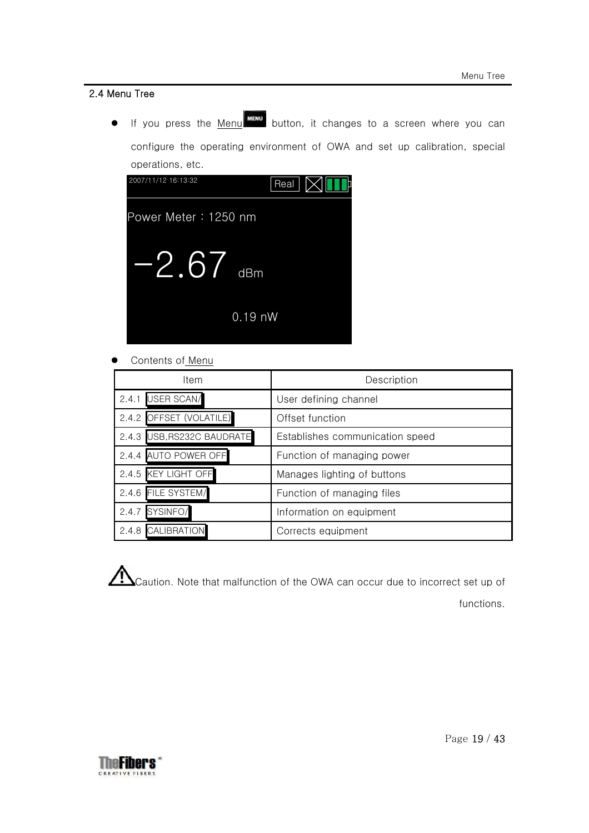### 2.4 Menu Tree

 $\bullet$  If you press the <u>Menu  $\overline{\phantom{a}}$  button, it changes to a screen where you can</u> configure the operating environment of OWA and set up calibration, special operations, etc.



Contents of Menu

| Item                       | Description                     |
|----------------------------|---------------------------------|
| <b>USER SCAN/</b><br>2.4.1 | User defining channel           |
| 2.4.2 OFFSET (VOLATILE)    | Offset function                 |
| 2.4.3 USB, RS232C BAUDRATE | Establishes communication speed |
| 2.4.4 AUTO POWER OFF       | Function of managing power      |
| 2.4.5 KEY LIGHT OFF        | Manages lighting of buttons     |
| 2.4.6 FILE SYSTEM/         | Function of managing files      |
| SYSINFO/<br>2.4.7          | Information on equipment        |
| 2.4.8 CALIBRATION          | Corrects equipment              |

 $\sum_{\text{Caution.}}$  Note that malfunction of the OWA can occur due to incorrect set up of functions.

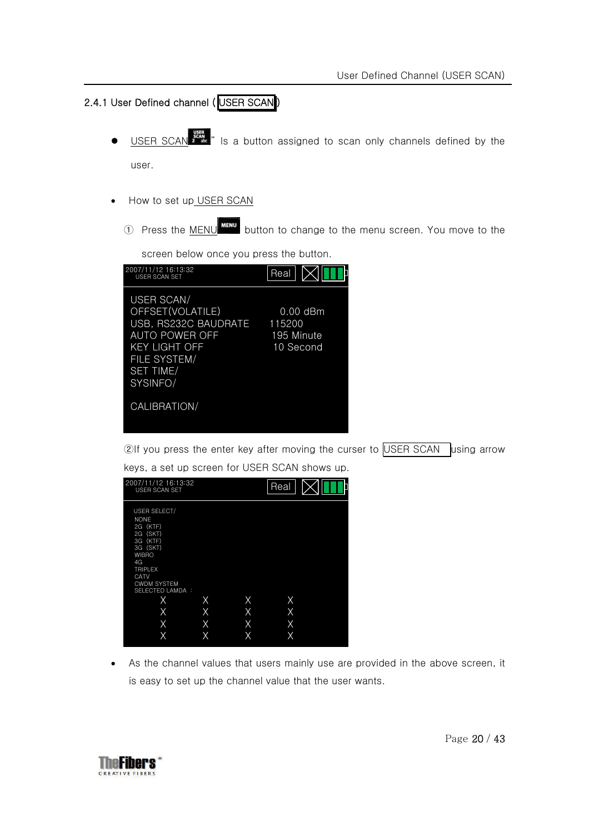### 2.4.1 User Defined channel (USER SCAN)

USER SCAN  $\frac{1}{2}$  is a button assigned to scan only channels defined by the

user.

- How to set up USER SCAN
	- ① Press the MENU button to change to the menu screen. You move to the

screen below once you press the button.

| 2007/11/12 16:13:32<br>USER SCAN SET                                                                                                                    | Real                                            |
|---------------------------------------------------------------------------------------------------------------------------------------------------------|-------------------------------------------------|
| <b>USER SCAN/</b><br>OFFSET(VOLATILE)<br>USB, RS232C BAUDRATE<br>AUTO POWER OFF<br><b>KEY LIGHT OFF</b><br>FILE SYSTEM/<br><b>SET TIME/</b><br>SYSINFO/ | $0.00$ dBm<br>115200<br>195 Minute<br>10 Second |
| CALIBRATION/                                                                                                                                            |                                                 |

②If you press the enter key after moving the curser to USER SCAN using arrow keys, a set up screen for USER SCAN shows up.

| 2007/11/12 16:13:32<br>USER SCAN SET                                                                                                                                  |   |   | Real |  |
|-----------------------------------------------------------------------------------------------------------------------------------------------------------------------|---|---|------|--|
| USER SELECT/<br><b>NONE</b><br>2G (KTF)<br>2G (SKT)<br>3G (KTF)<br>3G (SKT)<br><b>WIBRO</b><br>4G<br><b>TRIPLEX</b><br>CATV<br><b>CWDM SYSTEM</b><br>SELECTED LAMDA : |   |   |      |  |
| X                                                                                                                                                                     | Х | X | X    |  |
| X                                                                                                                                                                     | X | X | Χ    |  |
| X                                                                                                                                                                     | X | X | X    |  |
| Χ                                                                                                                                                                     | Χ | X | Χ    |  |

• As the channel values that users mainly use are provided in the above screen, it is easy to set up the channel value that the user wants.

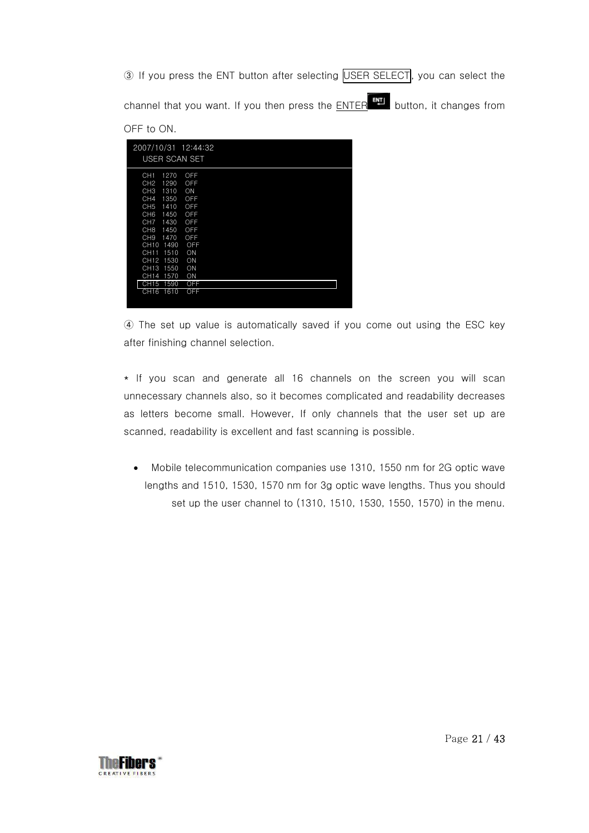③ If you press the ENT button after selecting USER SELECT, you can select the channel that you want. If you then press the ENTER ENTER button, it changes from OFF to ON.

| 2007/10/31 12:44:32<br>USER SCAN SET                                                                                                                                                                                                                                                                       |                                                                                     |
|------------------------------------------------------------------------------------------------------------------------------------------------------------------------------------------------------------------------------------------------------------------------------------------------------------|-------------------------------------------------------------------------------------|
| CH1<br>1270<br>CH <sub>2</sub><br>1290<br>CH <sub>3</sub><br>1310<br>CH <sub>4</sub><br>1350<br>CH <sub>5</sub><br>1410<br>CH <sub>6</sub><br>1450<br>CH <sub>7</sub><br>1430<br>CH <sub>8</sub><br>1450<br>CH <sub>9</sub><br>1470<br>1490<br><b>CH10</b><br>CH11<br>1510<br>CH12<br>1530<br>CH13<br>1550 | OFF<br>OFF<br>ON<br>OFF<br>OFF<br>OFF<br>OFF<br>OFF<br>OFF<br>OFF<br>ON<br>ON<br>ON |
| CH14<br>1570<br><b>CH15</b><br>1590                                                                                                                                                                                                                                                                        | ON<br>OFF                                                                           |
| CH16<br>1610                                                                                                                                                                                                                                                                                               | <b>OFF</b>                                                                          |

④ The set up value is automatically saved if you come out using the ESC key after finishing channel selection.

\* If you scan and generate all 16 channels on the screen you will scan unnecessary channels also, so it becomes complicated and readability decreases as letters become small. However, If only channels that the user set up are scanned, readability is excellent and fast scanning is possible.

• Mobile telecommunication companies use 1310, 1550 nm for 2G optic wave lengths and 1510, 1530, 1570 nm for 3g optic wave lengths. Thus you should set up the user channel to (1310, 1510, 1530, 1550, 1570) in the menu.

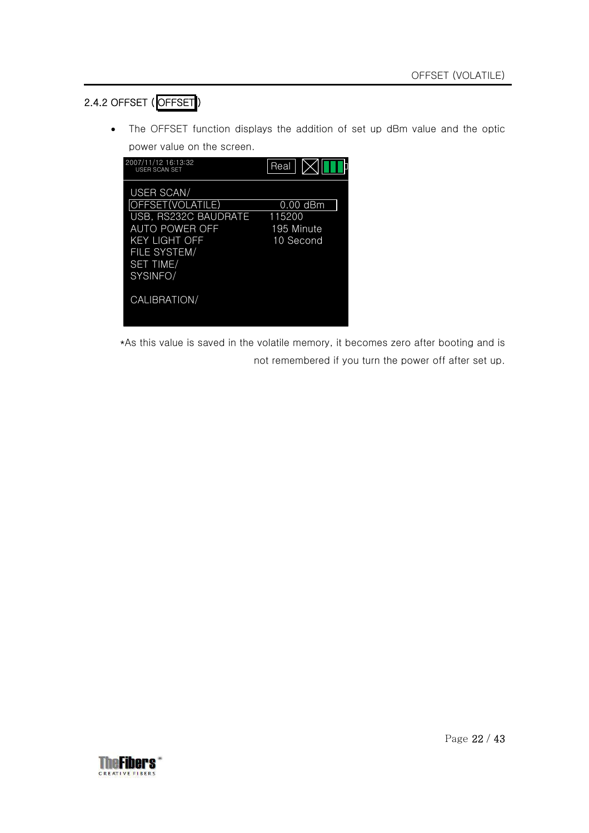### 2.4.2 OFFSET ( OFFSET )

• The OFFSET function displays the addition of set up dBm value and the optic power value on the screen.

| 2007/11/12 16:13:32<br>USER SCAN SET                                                                                                      | Real                                            |
|-------------------------------------------------------------------------------------------------------------------------------------------|-------------------------------------------------|
| USER SCAN/<br>OFFSET(VOLATILE)<br>USB, RS232C BAUDRATE<br>AUTO POWER OFF<br>KEY LIGHT OFF<br>FILE SYSTEM/<br><b>SET TIME/</b><br>SYSINFO/ | $0.00$ dBm<br>115200<br>195 Minute<br>10 Second |
| CALIBRATION/                                                                                                                              |                                                 |

\*As this value is saved in the volatile memory, it becomes zero after booting and is not remembered if you turn the power off after set up.

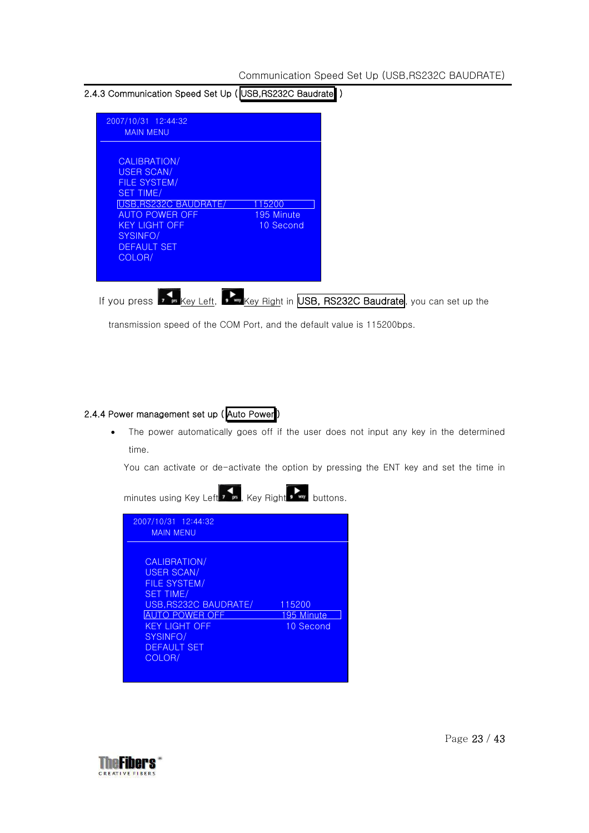#### 2.4.3 Communication Speed Set Up (USB,RS232C Baudrate)

| CALIBRATION/          |            |  |  |
|-----------------------|------------|--|--|
| USER SCAN/            |            |  |  |
| FILE SYSTEM/          |            |  |  |
| <b>SET TIME/</b>      |            |  |  |
| USB, RS232C BAUDRATE/ | 115200     |  |  |
| <b>AUTO POWER OFF</b> | 195 Minute |  |  |
| <b>KEY LIGHT OFF</b>  | 10 Second  |  |  |
| SYSINFO/              |            |  |  |
| <b>DEFAULT SET</b>    |            |  |  |
| COLOR/                |            |  |  |
|                       |            |  |  |

transmission speed of the COM Port, and the default value is 115200bps.

#### 2.4.4 Power management set up (Auto Power)

• The power automatically goes off if the user does not input any key in the determined time.

You can activate or de-activate the option by pressing the ENT key and set the time in

| 2007/10/31 12:44:32<br><b>MAIN MENU</b>                                                                                                                                                            |                                   |
|----------------------------------------------------------------------------------------------------------------------------------------------------------------------------------------------------|-----------------------------------|
| CALIBRATION/<br><b>USER SCAN/</b><br><b>FILE SYSTEM/</b><br><b>SET TIME/</b><br>USB, RS232C BAUDRATE/<br><b>AUTO POWER OFF</b><br><b>KEY LIGHT OFF</b><br>SYSINFO/<br><b>DEFAULT SET</b><br>COLOR/ | 115200<br>195 Minute<br>10 Second |

minutes using Key Left  $\overline{\cdot}$  , Key Right  $\overline{\cdot}$  buttons.

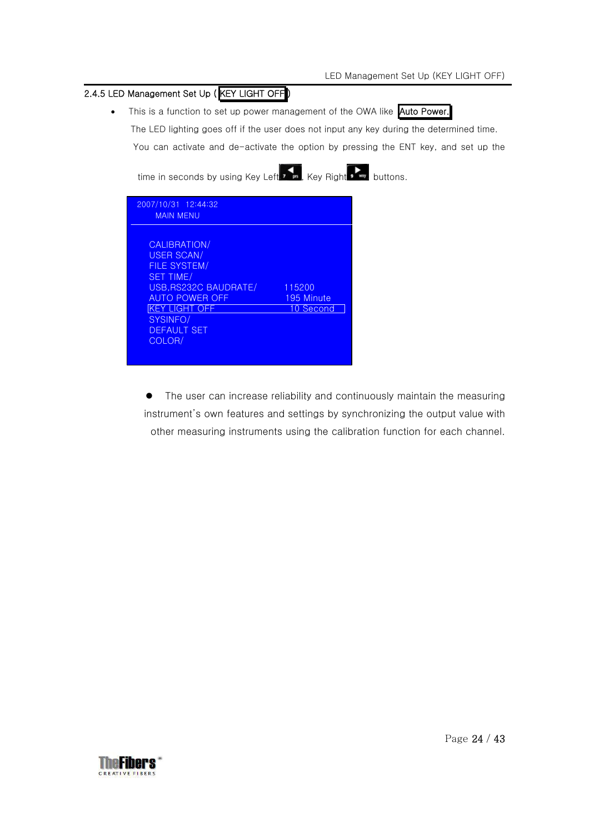### 2.4.5 LED Management Set Up (KEY LIGHT OFF

• This is a function to set up power management of the OWA like Auto Power.

The LED lighting goes off if the user does not input any key during the determined time.

You can activate and de-activate the option by pressing the ENT key, and set up the

time in seconds by using Key Left , Key Right , Way buttons.

| 2007/10/31 12:44:32<br><b>MAIN MENU</b>                                                                                                                                                           |                                   |
|---------------------------------------------------------------------------------------------------------------------------------------------------------------------------------------------------|-----------------------------------|
| CALIBRATION/<br><b>USER SCAN/</b><br><b>FILE SYSTEM/</b><br><b>SET TIME/</b><br>USB.RS232C BAUDRATE/<br><b>AUTO POWER OFF</b><br><b>KEY LIGHT OFF</b><br>SYSINFO/<br><b>DEFAULT SET</b><br>COLOR/ | 115200<br>195 Minute<br>10 Second |

• The user can increase reliability and continuously maintain the measuring instrument's own features and settings by synchronizing the output value with other measuring instruments using the calibration function for each channel.

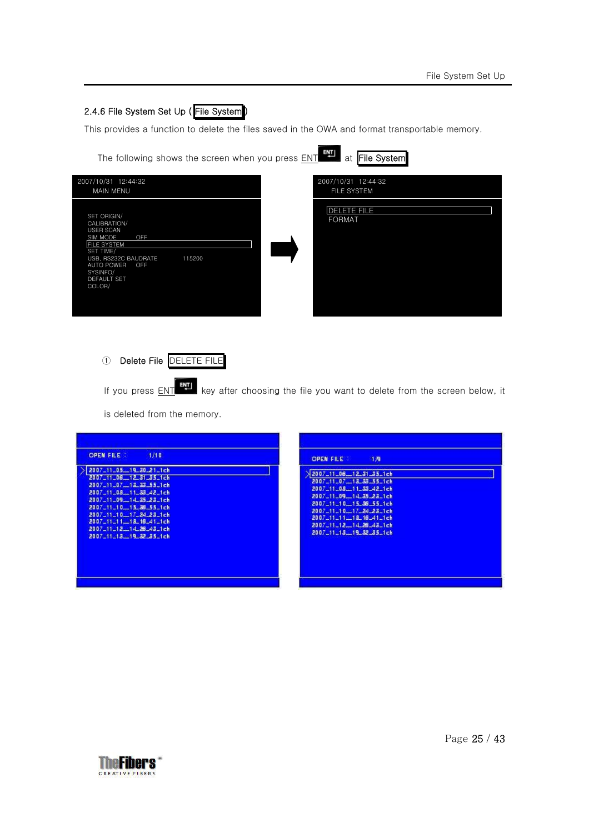### 2.4.6 File System Set Up ( File System )

This provides a function to delete the files saved in the OWA and format transportable memory.

| The following shows the screen when you press ENT THE at File System                                                                                                                              |                                     |
|---------------------------------------------------------------------------------------------------------------------------------------------------------------------------------------------------|-------------------------------------|
| 2007/10/31 12:44:32<br><b>MAIN MENU</b>                                                                                                                                                           | 2007/10/31 12:44:32<br>FILE SYSTEM  |
| SET ORIGIN/<br>CALIBRATION/<br>USER SCAN<br>OFF<br>SIM MODE<br><b>FILE SYSTEM</b><br>SET TIME/<br>USB, RS232C BAUDRATE<br>115200<br><b>AUTO POWER</b><br>OFF<br>SYSINFO/<br>DEFAULT SET<br>COLOR/ | <b>DELETE FILE</b><br><b>FORMAT</b> |



If you press  $ENT$  key after choosing the file you want to delete from the screen below, it</u>

is deleted from the memory.

| <b>OPEN FILE</b>                                                                                                                                                                                                                                                           | <b>OPEN FILE :</b>                                                                                                                                                                                                                               |
|----------------------------------------------------------------------------------------------------------------------------------------------------------------------------------------------------------------------------------------------------------------------------|--------------------------------------------------------------------------------------------------------------------------------------------------------------------------------------------------------------------------------------------------|
| 1/10                                                                                                                                                                                                                                                                       | 1.9                                                                                                                                                                                                                                              |
| 2007_11_05_19_30_21_1ch<br>2007-11-08-12-31-35-1-h<br>2007_11_07_12_23_55_1ch<br>2007_11_08_11_33_42_1ch<br>2007_11_09_14_35_23_1ch<br>2007_11_10_15_36_55_1ch<br>2007-11-10-17-24-23-1ch<br>2007_11_11_18_16_41_1ch<br>2007_11_12_14_26_43_1ch<br>2007_11_13_19_32_35_1ch | 2007_11_06_12_31_35_1ch<br>2007_11_07_13_33_55_1ch<br>2007_11_08_11_33_42_1ch<br>2007 11 09 14 35 23 1ch<br>2007_11_10_15_36_55_1ch<br>2007_11_10_17_24_23_1ch<br>2007_11_11_18_16_41_1ch<br>2007_11_12_14_26_43_1ch<br>2007_11_13__19_32_35_1ch |

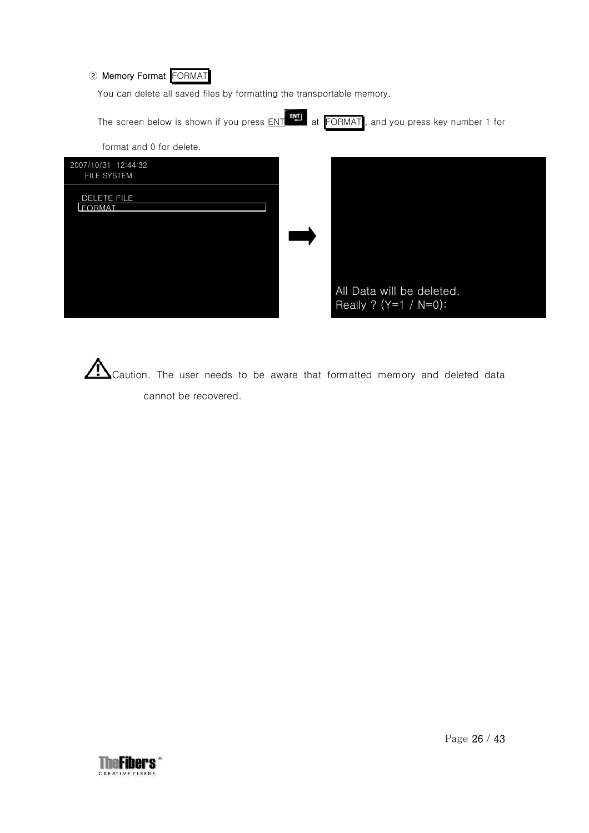### ② Memory Format FORMAT

You can delete all saved files by formatting the transportable memory.

| The screen below is shown if you press ENT | 택<br>at FORMAT,<br>and you press key number 1 for     |
|--------------------------------------------|-------------------------------------------------------|
| format and 0 for delete.                   |                                                       |
| 2007/10/31 12:44:32<br>FILE SYSTEM         |                                                       |
| DELETE FILE<br><b>FORMAT</b>               |                                                       |
|                                            |                                                       |
|                                            |                                                       |
|                                            | All Data will be deleted.<br>Really ? $(Y=1 / N=0)$ : |

Caution. The user needs to be aware that formatted memory and deleted data cannot be recovered.

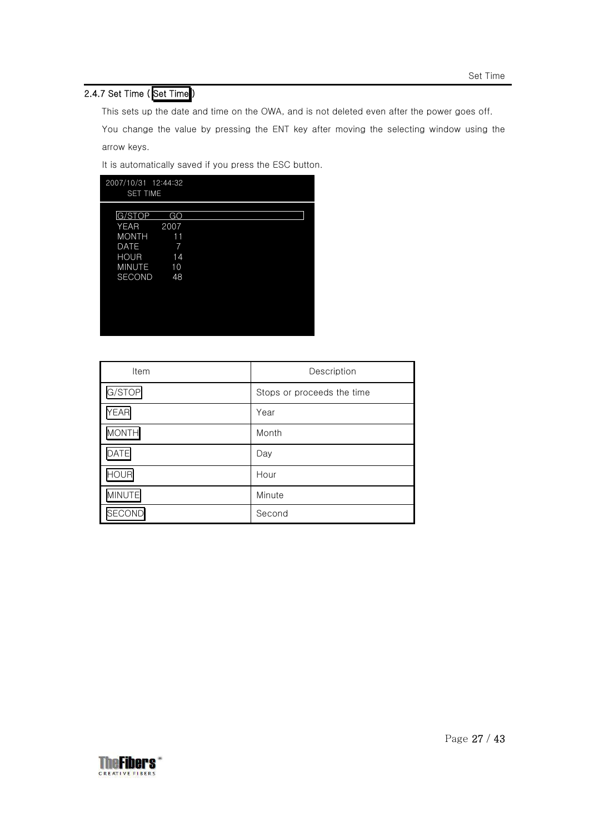### 2.4.7 Set Time (Set Time)

This sets up the date and time on the OWA, and is not deleted even after the power goes off.

You change the value by pressing the ENT key after moving the selecting window using the arrow keys.

It is automatically saved if you press the ESC button.

| 2007/10/31 12:44:32<br><b>SET TIME</b> |      |  |  |
|----------------------------------------|------|--|--|
| G/STOP                                 | GO   |  |  |
| <b>YEAR</b>                            | 2007 |  |  |
| <b>MONTH</b>                           | 11   |  |  |
| <b>DATE</b>                            | 7    |  |  |
| <b>HOUR</b>                            | 14   |  |  |
| <b>MINUTE</b>                          | 10   |  |  |
| <b>SECOND</b>                          | 48   |  |  |
|                                        |      |  |  |
|                                        |      |  |  |
|                                        |      |  |  |
|                                        |      |  |  |
|                                        |      |  |  |
|                                        |      |  |  |

| Item          | Description                |
|---------------|----------------------------|
| G/STOP        | Stops or proceeds the time |
| <b>YEAR</b>   | Year                       |
| <b>MONTH</b>  | Month                      |
| ATE           | Day                        |
| <b>IOUR</b>   | Hour                       |
| <b>MINUTE</b> | Minute                     |
| <b>SECOND</b> | Second                     |

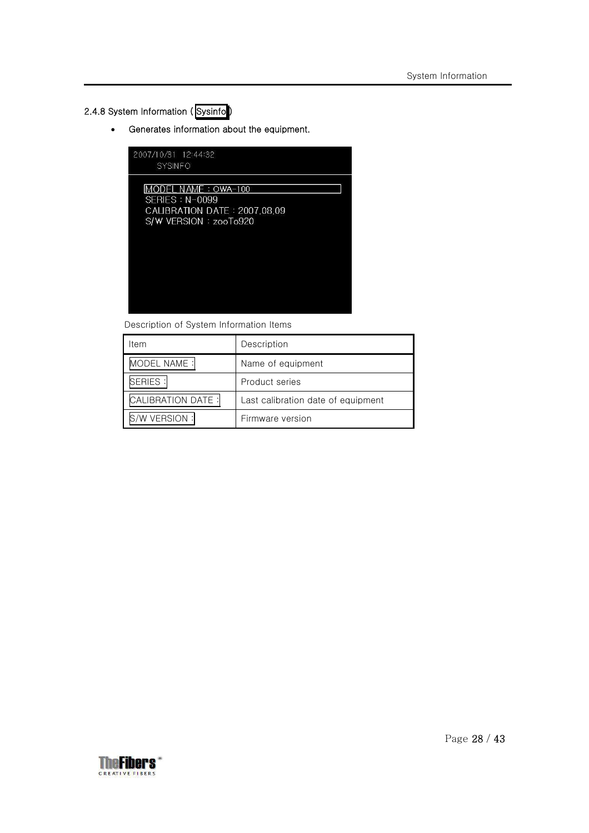### 2.4.8 System Information (Sysinfo)

• Generates information about the equipment.

| 2007/10/31 12:44:32<br><b>SYSINFO</b>                                                               |  |
|-----------------------------------------------------------------------------------------------------|--|
| IMODEL NAME : OWA-100<br>$SFRIFS : N-0099$<br>CALIBRATION DATE: 2007.08.09<br>S/W VERSION: zooTo920 |  |
|                                                                                                     |  |

Description of System Information Items

| ltem                     | Description                        |
|--------------------------|------------------------------------|
| <b>ODEL NAME:</b>        | Name of equipment                  |
| <b>SERIES:</b>           | Product series                     |
| <b>CALIBRATION DATE:</b> | Last calibration date of equipment |
| VERSION:                 | Firmware version                   |

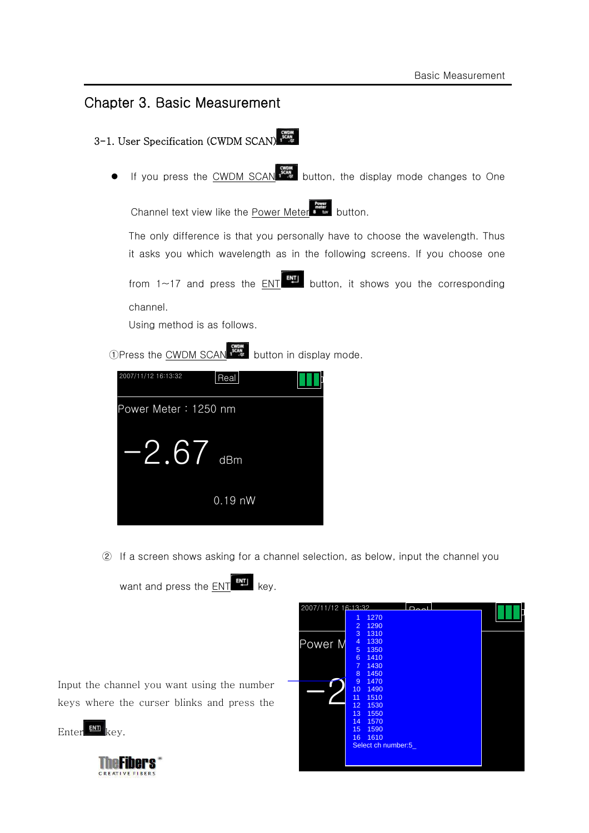### Chapter 3. Basic Measurement





② If a screen shows asking for a channel selection, as below, input the channel you

want and press the ENT ENT key.

Input the channel you want using the number keys where the curser blinks and press the

Enter ENT key.



| 2007/11/12 16:13:32 |                     |                    |  |
|---------------------|---------------------|--------------------|--|
|                     | 1<br>$\overline{2}$ | 1270<br>1290       |  |
|                     | 3                   | 1310               |  |
| Power M             | 4                   | 1330               |  |
|                     | 5                   | 1350               |  |
|                     | 6                   | 1410               |  |
|                     | $\overline{7}$      | 1430               |  |
|                     | 8                   | 1450               |  |
|                     | 9                   | 1470               |  |
|                     | 10                  | 1490               |  |
|                     | 11                  | 1510               |  |
|                     | 12                  | 1530               |  |
|                     | 13                  | 1550               |  |
|                     | 14                  | 1570               |  |
|                     | 15                  | 1590               |  |
|                     | 16                  | 1610               |  |
|                     |                     | Select ch number:5 |  |
|                     |                     |                    |  |
|                     |                     |                    |  |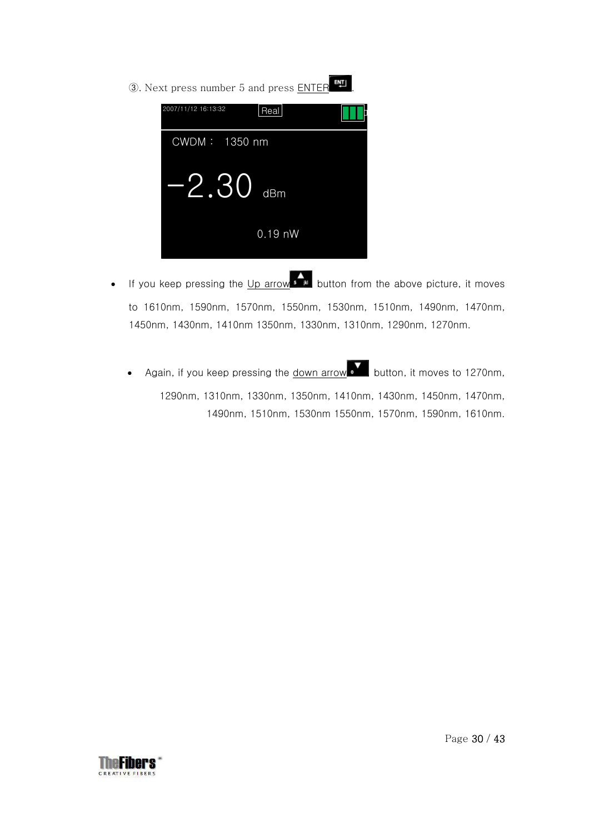③. Next press number 5 and press ENTER .



- If you keep pressing the Up arrow  $\overline{\phantom{a}^{\bullet}}$  button from the above picture, it moves to 1610nm, 1590nm, 1570nm, 1550nm, 1530nm, 1510nm, 1490nm, 1470nm, 1450nm, 1430nm, 1410nm 1350nm, 1330nm, 1310nm, 1290nm, 1270nm.
	- Again, if you keep pressing the <u>down arrow</u> button, it moves to 1270nm, 1290nm, 1310nm, 1330nm, 1350nm, 1410nm, 1430nm, 1450nm, 1470nm, 1490nm, 1510nm, 1530nm 1550nm, 1570nm, 1590nm, 1610nm.

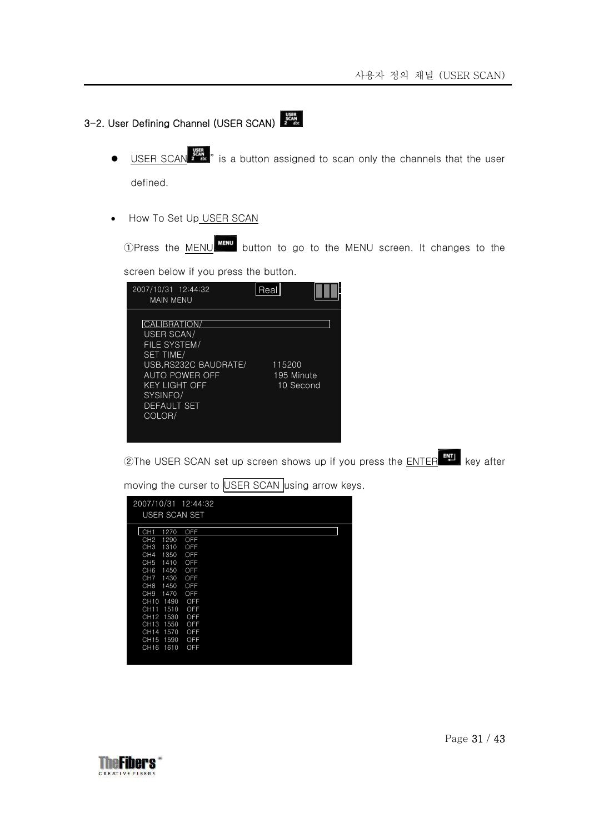## 3-2. User Defining Channel (USER SCAN)

- USER SCAN  $\frac{1}{2}$  is a button assigned to scan only the channels that the user defined.
- How To Set Up USER SCAN

OPress the MENU MENU button to go to the MENU screen. It changes to the

screen below if you press the button.

| 2007/10/31 12:44:32<br><b>MAIN MENU</b>                                                                                                                                      | кеа                               |
|------------------------------------------------------------------------------------------------------------------------------------------------------------------------------|-----------------------------------|
| CALIBRATION/<br>USER SCAN/<br>FILE SYSTEM/<br><b>SET TIME/</b><br>USB.RS232C BAUDRATE/<br>AUTO POWER OFF<br><b>KEY LIGHT OFF</b><br>SYSINFO/<br><b>DEFAULT SET</b><br>COLOR/ | 115200<br>195 Minute<br>10 Second |

②The USER SCAN set up screen shows up if you press the ENTER ENTER key after

| 2007/10/31<br>USER SCAN SET | 12:44:32 |  |
|-----------------------------|----------|--|
| 1270<br>CH <sub>1</sub>     | OFF      |  |
| CH <sub>2</sub><br>1290     | OFF      |  |
| CH <sub>3</sub><br>1310     | OFF      |  |
| CH <sub>4</sub><br>1350     | OFF      |  |
| CH <sub>5</sub><br>1410     | OFF      |  |
| CH <sub>6</sub><br>1450     | OFF      |  |
| CH <sub>7</sub><br>1430     | OFF      |  |
| CH <sub>8</sub><br>1450     | OFF      |  |
| CH <sub>9</sub><br>1470     | OFF      |  |
| 1490<br>CH <sub>10</sub>    | OFF      |  |
| 1510<br>CH11                | OFF      |  |
| CH12<br>1530                | OFF      |  |
| CH <sub>13</sub><br>1550    | OFF      |  |
| CH14<br>1570                | OFF      |  |
| 1590<br><b>CH15</b>         | OFF      |  |
| CH <sub>16</sub><br>1610    | OFF      |  |
|                             |          |  |

moving the curser to USER SCAN using arrow keys.

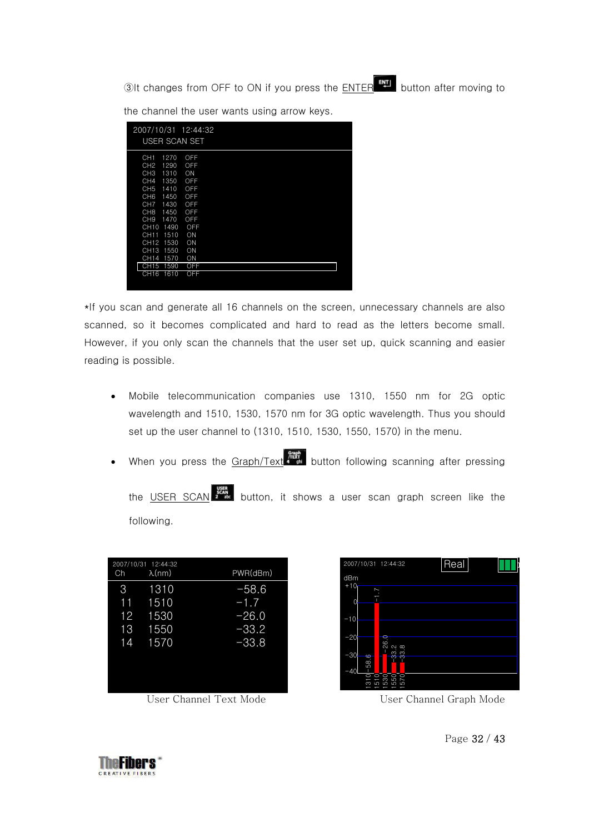**3**It changes from OFF to ON if you press the **ENTER ENT** button after moving to

| 2007/10/31 12:44:32<br>USER SCAN SET                                                                                                                                                                                                                                                                                                    |                                                                                     |
|-----------------------------------------------------------------------------------------------------------------------------------------------------------------------------------------------------------------------------------------------------------------------------------------------------------------------------------------|-------------------------------------------------------------------------------------|
| 1270<br>CH <sub>1</sub><br>CH <sub>2</sub><br>1290<br>1310<br>CH <sub>3</sub><br>CH <sub>4</sub><br>1350<br>CH <sub>5</sub><br>1410<br>CH <sub>6</sub><br>1450<br>CH <sub>7</sub><br>1430<br>CH <sub>8</sub><br>1450<br>1470<br>CH <sub>9</sub><br>1490<br>CH <sub>10</sub><br>CH11<br>1510<br>1530<br>CH12<br>CH <sub>13</sub><br>1550 | OFF<br>OFF<br>ON<br>OFF<br>OFF<br>OFF<br>OFF<br>OFF<br>OFF<br>OFF<br>ON<br>ON<br>ON |
| 1570<br>CH14                                                                                                                                                                                                                                                                                                                            | ON                                                                                  |
| CH <sub>15</sub><br>1590                                                                                                                                                                                                                                                                                                                | OFF                                                                                 |
| CH <sub>16</sub><br>1610                                                                                                                                                                                                                                                                                                                | OFF                                                                                 |

the channel the user wants using arrow keys.

\*If you scan and generate all 16 channels on the screen, unnecessary channels are also scanned, so it becomes complicated and hard to read as the letters become small. However, if you only scan the channels that the user set up, quick scanning and easier reading is possible.

- Mobile telecommunication companies use 1310, 1550 nm for 2G optic wavelength and 1510, 1530, 1570 nm for 3G optic wavelength. Thus you should set up the user channel to (1310, 1510, 1530, 1550, 1570) in the menu.
- When you press the  $\frac{Graph/Text}{G}$  button following scanning after pressing

the USER SCAN button, it shows a user scan graph screen like the following.

| Ch | 2007/10/31 12:44:32<br>$\lambda$ (nm) | PWR(dBm) |
|----|---------------------------------------|----------|
| 3  | 1310                                  | $-58.6$  |
| 11 | 1510                                  | $-1.7$   |
| 12 | 1530                                  | $-26.0$  |
| 13 | 1550                                  | $-33.2$  |
| 14 | 1570                                  | $-33.8$  |
|    |                                       |          |
|    |                                       |          |
|    |                                       |          |

User Channel Text Mode User Channel Graph Mode



Page 32 / 43

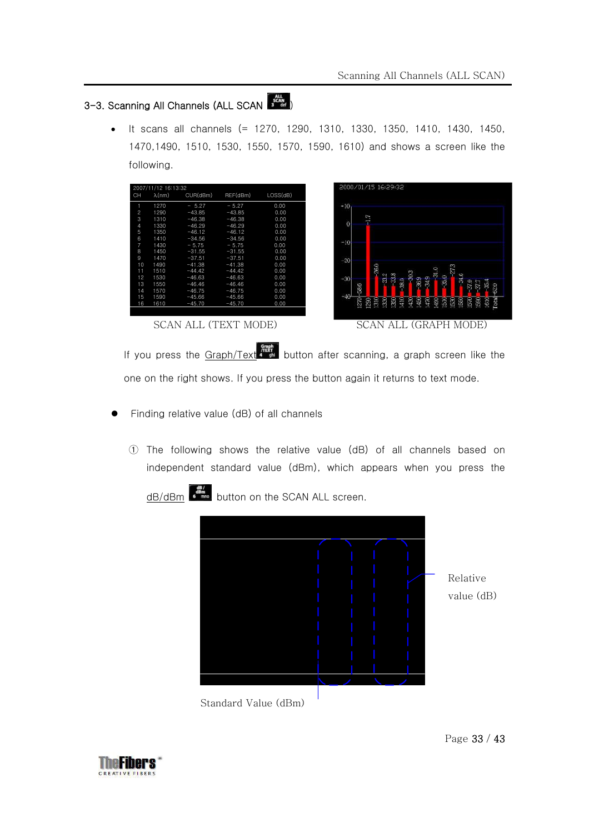## 3-3. Scanning All Channels (ALL SCAN  $\frac{1}{s}$

• It scans all channels (= 1270, 1290, 1310, 1330, 1350, 1410, 1430, 1450, 1470,1490, 1510, 1530, 1550, 1570, 1590, 1610) and shows a screen like the following.

|                | 2007/11/12 16:13:32 |          |          |         |  |
|----------------|---------------------|----------|----------|---------|--|
| CH             | $\lambda$ (nm)      | CUR(dBm) | REF(dBm) | LOS(dB) |  |
| 1              | 1270                | $-5.27$  | $-5.27$  | 0.00    |  |
| $\overline{c}$ | 1290                | $-43.85$ | $-43.85$ | 0.00    |  |
| 3              | 1310                | $-46.38$ | $-46.38$ | 0.00    |  |
| 4              | 1330                | $-46.29$ | $-46.29$ | 0.00    |  |
| 5              | 1350                | $-46.12$ | $-46.12$ | 0.00    |  |
| 6              | 1410                | $-34.56$ | $-34.56$ | 0.00    |  |
| 7              | 1430                | $-5.75$  | $-5.75$  | 0.00    |  |
| 8              | 1450                | $-31.55$ | $-31.55$ | 0.00    |  |
| 9              | 1470                | $-37.51$ | $-37.51$ | 0.00    |  |
| 10             | 1490                | $-41.38$ | $-41.38$ | 0.00    |  |
| 11             | 1510                | $-44.42$ | $-44.42$ | 0.00    |  |
| 12             | 1530                | $-46.63$ | $-46.63$ | 0.00    |  |
| 13             | 1550                | $-46.46$ | $-46.46$ | 0.00    |  |
| 14             | 1570                | $-46.75$ | $-46.75$ | 0.00    |  |
| 15             | 1590                | $-45.66$ | $-45.66$ | 0.00    |  |
| 16             | 1610                | $-45.70$ | $-45.70$ | 0.00    |  |
|                |                     |          |          |         |  |
|                | ΔN                  |          | MC       |         |  |



If you press the  $Graph/Text$  button after scanning, a graph screen like the one on the right shows. If you press the button again it returns to text mode.

- Finding relative value (dB) of all channels
	- ① The following shows the relative value (dB) of all channels based on independent standard value (dBm), which appears when you press the



dB/dBm  $\frac{dB}{dr}$  button on the SCAN ALL screen.

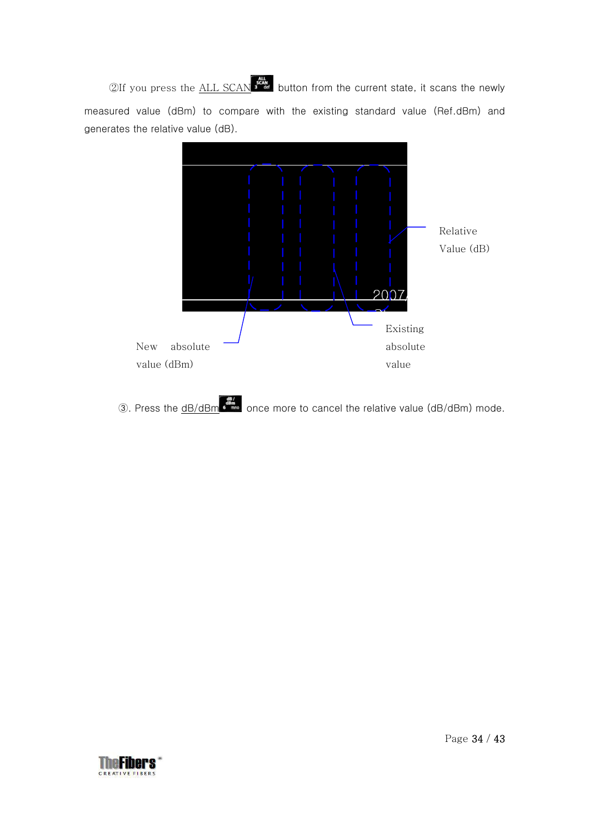$2$ If you press the  $\underline{\text{ALL SCAN}}$  if  $\frac{dH}{dt}$  button from the current state, it scans the newly measured value (dBm) to compare with the existing standard value (Ref.dBm) and generates the relative value (dB).



**3**. Press the <u>dB/dBm once</u> more to cancel the relative value (dB/dBm) mode.

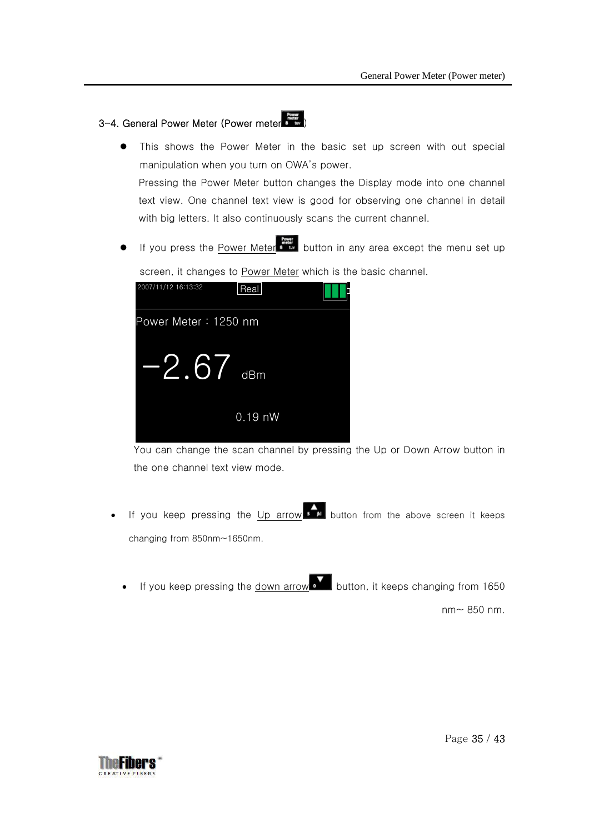### 3-4. General Power Meter (Power meter  $\begin{bmatrix} \frac{1}{2} & \frac{1}{2} & \cdots & \frac{1}{2} \\ \vdots & \ddots & \vdots & \vdots \end{bmatrix}$

2007/11/12 16:13:32

- This shows the Power Meter in the basic set up screen with out special manipulation when you turn on OWA's power. Pressing the Power Meter button changes the Display mode into one channel text view. One channel text view is good for observing one channel in detail with big letters. It also continuously scans the current channel.
- If you press the <u>Power Meter button in any area except the menu set up</u>

screen, it changes to Power Meter which is the basic channel.

| 2007/11/12 16:13:32  | Real      |  |
|----------------------|-----------|--|
| Power Meter: 1250 nm |           |  |
| $-2.67$ dBm          |           |  |
|                      | $0.19$ nW |  |

You can change the scan channel by pressing the Up or Down Arrow button in the one channel text view mode.

- If you keep pressing the Up arrow  $\overline{\mathbf{B}}$  button from the above screen it keeps changing from 850nm~1650nm.
	- If you keep pressing the down arrow button, it keeps changing from 1650

nm~ 850 nm.

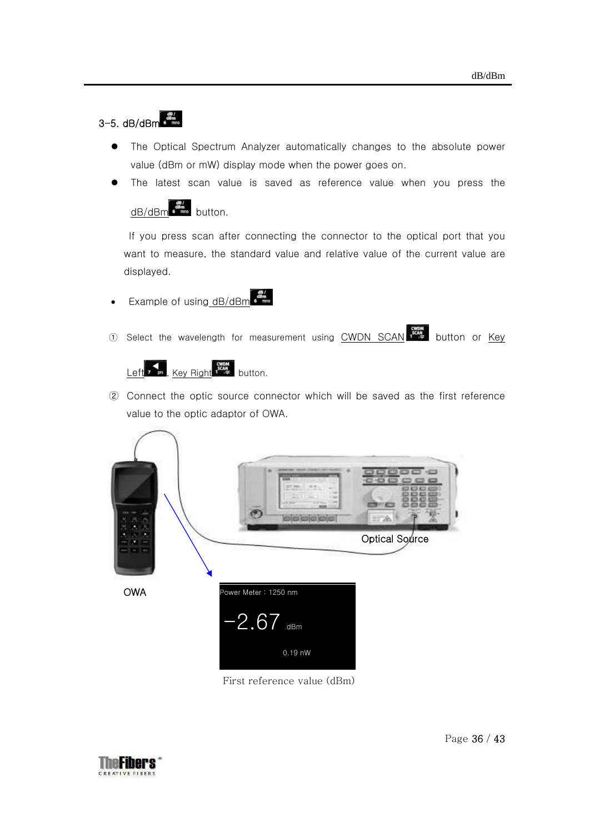## $3-5.$  dB/dBm  $\frac{d^{BB}}{6}$

- The Optical Spectrum Analyzer automatically changes to the absolute power value (dBm or mW) display mode when the power goes on.
- The latest scan value is saved as reference value when you press the



If you press scan after connecting the connector to the optical port that you want to measure, the standard value and relative value of the current value are displayed.

- **Example of using dB/dBm**
- ① Select the wavelength for measurement using CWDN SCAN button or Key



② Connect the optic source connector which will be saved as the first reference value to the optic adaptor of OWA.



First reference value (dBm)

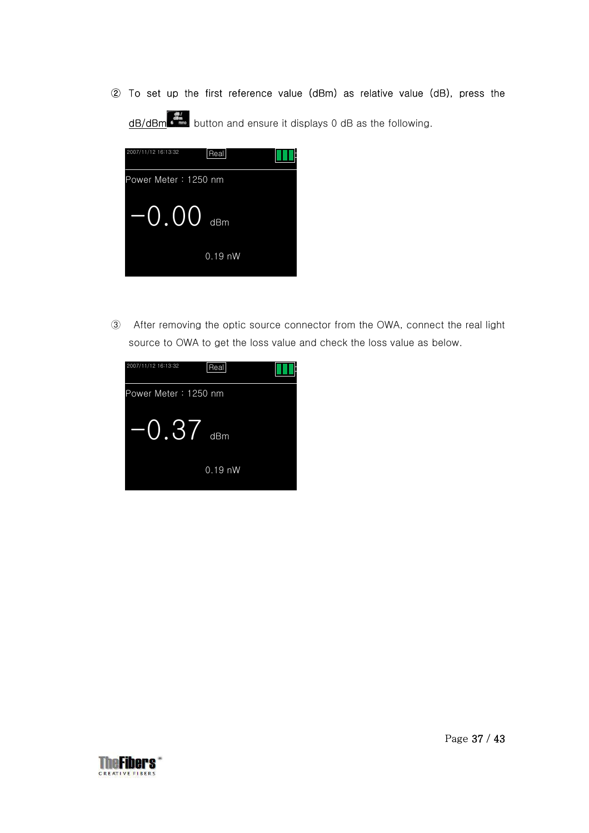② To set up the first reference value (dBm) as relative value (dB), press the  $\circled{2}$  To set up the first reference value (dBm) as relative value (dB), press the dB/dBm  $\circ$   $\bullet$   $\bullet$  button and ensure it displays 0 dB as the following.



③ After removing the optic source connector from the OWA, connect the real light source to OWA to get the loss value and check the loss value as below.



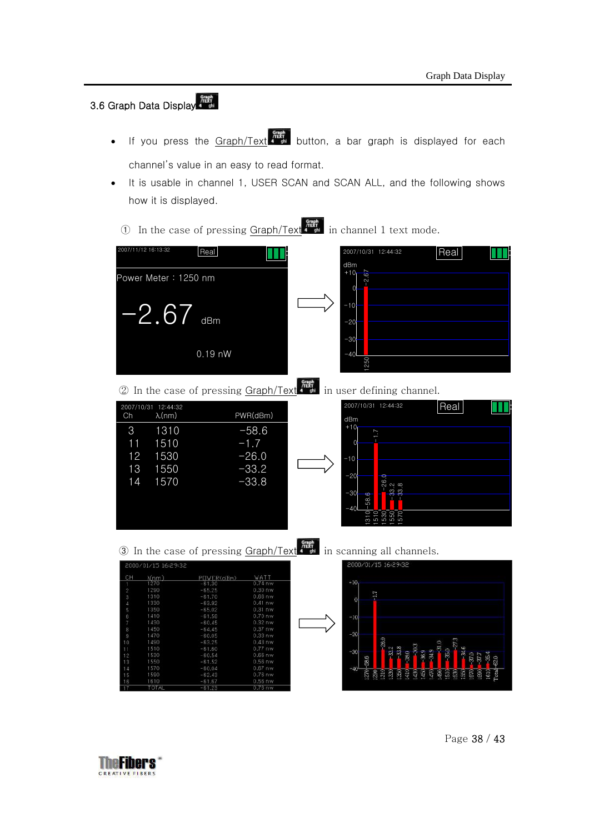## 3.6 Graph Data Display

- If you press the Graph/Text  $\frac{\frac{1}{2}$  button, a bar graph is displayed for each channel's value in an easy to read format.
- It is usable in channel 1, USER SCAN and SCAN ALL, and the following shows how it is displayed.
	- ① In the case of pressing Graph/Text in channel 1 text mode.



 $\oslash$  In the case of pressing Graph/Text  $\frac{m}{\sin m}$  in user defining channel.

|    | 2007/10/31 12:44:32 |          | 2007/10/31 12:44:32                           | Real |
|----|---------------------|----------|-----------------------------------------------|------|
| Ch | $\lambda$ (nm)      | PWR(dBm) | dBm                                           |      |
| 3  | 1310                | $-58.6$  | $+10$<br>$\sum$                               |      |
| 11 | 1510                | $-1.7$   | $\mathbf 0$                                   |      |
| 12 | 1530                | $-26.0$  | $-10$                                         |      |
| 13 | 1550                | $-33.2$  | $-20$<br>O                                    |      |
| 14 | 1570                | $-33.8$  | 26.                                           |      |
|    |                     |          | 33.8<br>$-30$<br>6<br>$\infty$<br>LO<br>$-40$ |      |
|    |                     |          | 55885                                         |      |



3 In the case of pressing  $\frac{Graph}{Text}$  in scanning all channels.

| CН | $\lambda$ (nm) | POWER(olBm) | WATT      |
|----|----------------|-------------|-----------|
|    | 1270           | $-61.30$    | $0.74$ nw |
| 2  | 1290           | $-65.25$    | $0.30$ nw |
| 3  | 1310           | $-61.70$    | $0.66$ nw |
| Δ  | 1330           | $-63.92$    | $0.41$ nw |
| 5  | 1350           | $-65.02$    | $0.31$ nw |
| 6  | 1410           | $-61.58$    | $0.70$ nw |
| 7  | 1430           | $-60.45$    | $0.32$ nw |
| 8  | 1450           | $-64.45$    | $0.37$ nw |
| 9  | 1470           | $-60.05$    | $0.33$ nw |
| 10 | 1490           | $-63.25$    | $0.43$ nw |
| 11 | 1510           | $-61.60$    | $0.77$ nw |
| 12 | 1530           | $-60.54$    | $0.66$ nw |
| 13 | 1550           | $-61.52$    | $0.56$ nw |
| 14 | 1570           | $-60.04$    | $0.67$ nw |
| 15 | 1590           | $-62.43$    | $0.76$ nw |
| 16 | 1610           | $-61.67$    | $0.56$ nw |
| 17 | <b>TOTAL</b>   | $-61.23$    | $0.76$ nw |



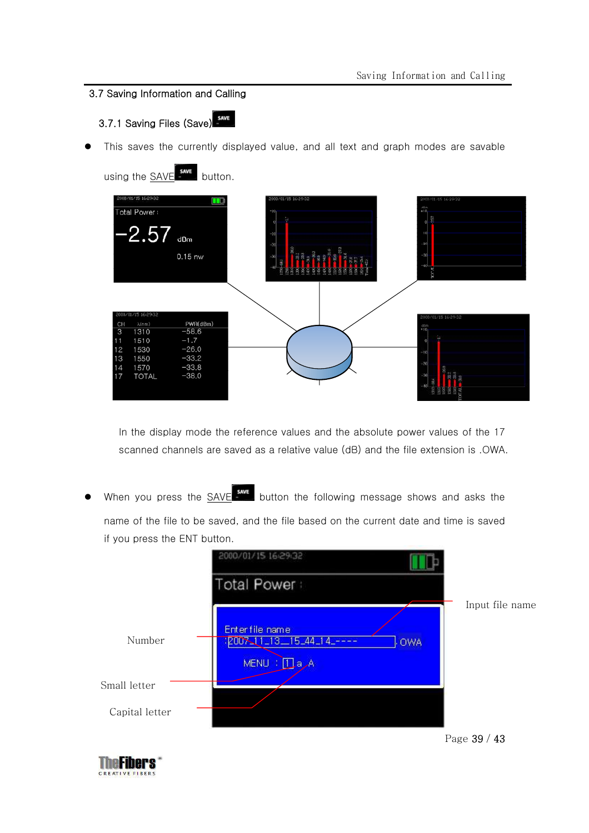### 3.7 Saving Information and Calling

3.7.1 Saving Files (Save)

This saves the currently displayed value, and all text and graph modes are savable

using the **SAVE** save button.



In the display mode the reference values and the absolute power values of the 17 scanned channels are saved as a relative value (dB) and the file extension is .OWA.

When you press the  $SAVE$  save button the following message shows and asks the name of the file to be saved, and the file based on the current date and time is saved if you press the ENT button.



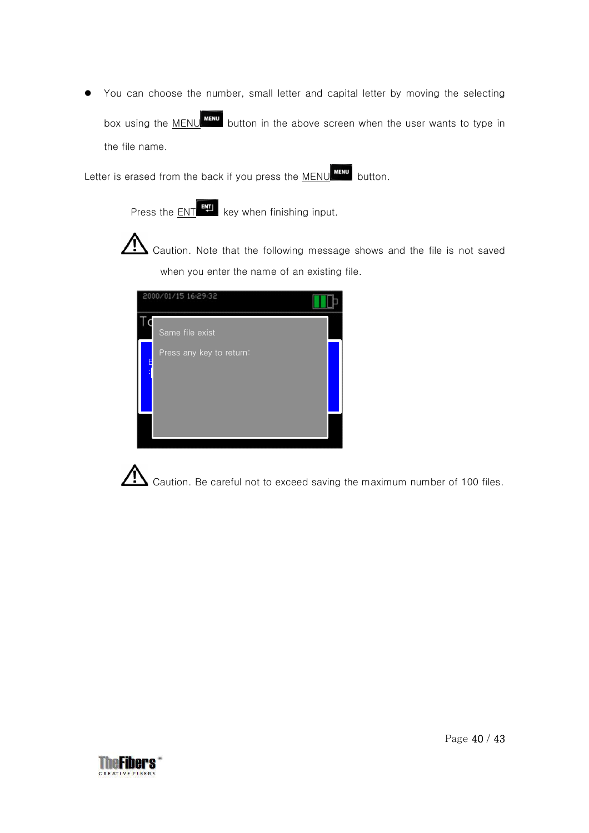You can choose the number, small letter and capital letter by moving the selecting box using the MENU **MENU** button in the above screen when the user wants to type in the file name.

Letter is erased from the back if you press the MENU **MENU** button.

Press the  $ENT$  key when finishing input.

 Caution. Note that the following message shows and the file is not saved when you enter the name of an existing file.



Caution. Be careful not to exceed saving the maximum number of 100 files.

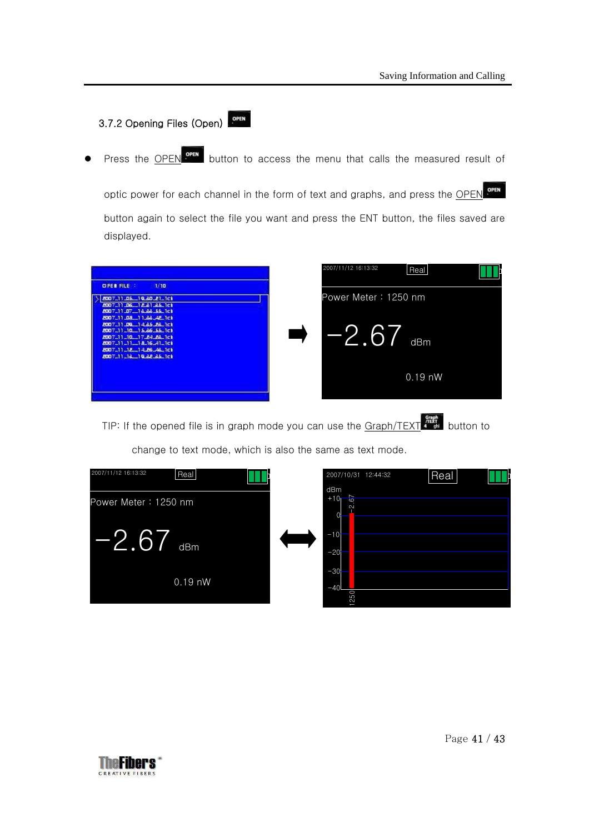### 3.7.2 Opening Files (Open)

Press the **OPEN OPEN** button to access the menu that calls the measured result of

optic power for each channel in the form of text and graphs, and press the OPEN OPEN button again to select the file you want and press the ENT button, the files saved are displayed.

|                                                                                                                                                                                                                                                                                                        | 2007/11/12 16:13:32             | Real             |  |
|--------------------------------------------------------------------------------------------------------------------------------------------------------------------------------------------------------------------------------------------------------------------------------------------------------|---------------------------------|------------------|--|
| <b>OPER FILE</b><br>1/10<br>2007_11_06_19_20_21_1c1<br>2007_11_06_12_81_86_1c1<br>8007_11_07_13_22_55_1c1<br>8007_11_08_11_88_4E_1c)<br>8007_11.00 14.85.28.1ct<br>8007_11_10_15.86_55_1c1<br>8007_11_10_17_84_8&_1c1<br>8007_11_11_18_16_41_1ci<br>8007_11_18_14.86_4&_1c1<br>2007-11-18-19-88-86-1ct | Power Meter: 1250 nm<br>$-2.67$ | dBm<br>$0.19$ nW |  |
|                                                                                                                                                                                                                                                                                                        |                                 |                  |  |

TIP: If the opened file is in graph mode you can use the  $Graph/TEXT$ 

change to text mode, which is also the same as text mode.



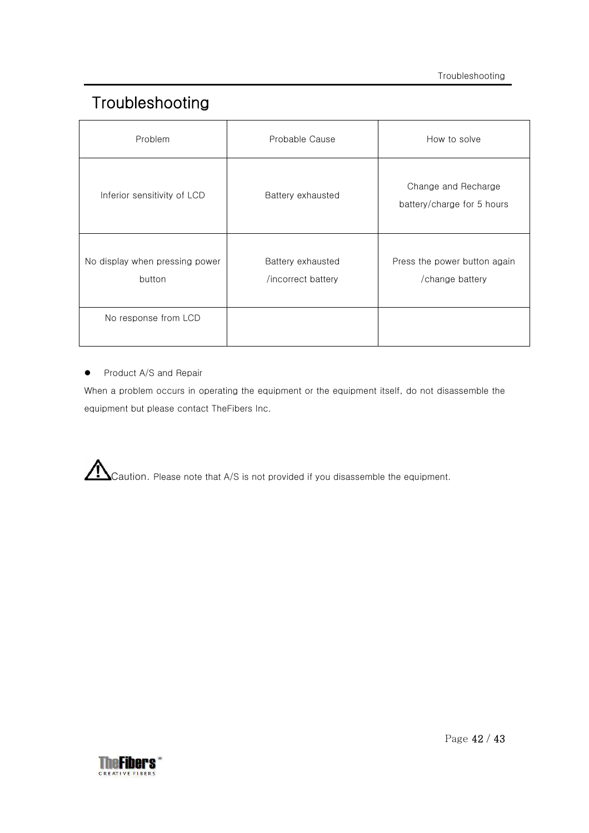## Troubleshooting

| Problem                                  | Probable Cause                          | How to solve                                      |
|------------------------------------------|-----------------------------------------|---------------------------------------------------|
| Inferior sensitivity of LCD              | Battery exhausted                       | Change and Recharge<br>battery/charge for 5 hours |
| No display when pressing power<br>button | Battery exhausted<br>/incorrect battery | Press the power button again<br>/change battery   |
| No response from LCD                     |                                         |                                                   |

**•** Product A/S and Repair

When a problem occurs in operating the equipment or the equipment itself, do not disassemble the equipment but please contact TheFibers Inc.

Caution. Please note that A/S is not provided if you disassemble the equipment.